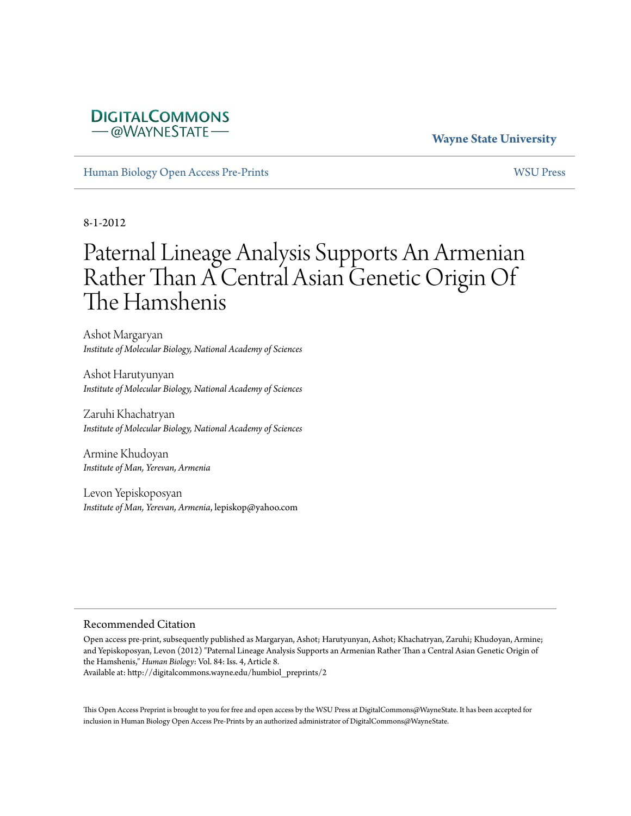#### **DIGITALCOMMONS** –@WAYNESTATE–

#### **Wayne State University**

[Human Biology Open Access Pre-Prints](http://digitalcommons.wayne.edu/humbiol_preprints) [WSU Press](http://digitalcommons.wayne.edu/wsupress)

8-1-2012

# Paternal Lineage Analysis Supports An Armenian Rather Than A Central Asian Genetic Origin Of The Hamshenis

Ashot Margaryan *Institute of Molecular Biology, National Academy of Sciences*

Ashot Harutyunyan *Institute of Molecular Biology, National Academy of Sciences*

Zaruhi Khachatryan *Institute of Molecular Biology, National Academy of Sciences*

Armine Khudoyan *Institute of Man, Yerevan, Armenia*

Levon Yepiskoposyan *Institute of Man, Yerevan, Armenia*, lepiskop@yahoo.com

#### Recommended Citation

Open access pre-print, subsequently published as Margaryan, Ashot; Harutyunyan, Ashot; Khachatryan, Zaruhi; Khudoyan, Armine; and Yepiskoposyan, Levon (2012) "Paternal Lineage Analysis Supports an Armenian Rather Than a Central Asian Genetic Origin of the Hamshenis," *Human Biology*: Vol. 84: Iss. 4, Article 8. Available at: http://digitalcommons.wayne.edu/humbiol\_preprints/2

This Open Access Preprint is brought to you for free and open access by the WSU Press at DigitalCommons@WayneState. It has been accepted for inclusion in Human Biology Open Access Pre-Prints by an authorized administrator of DigitalCommons@WayneState.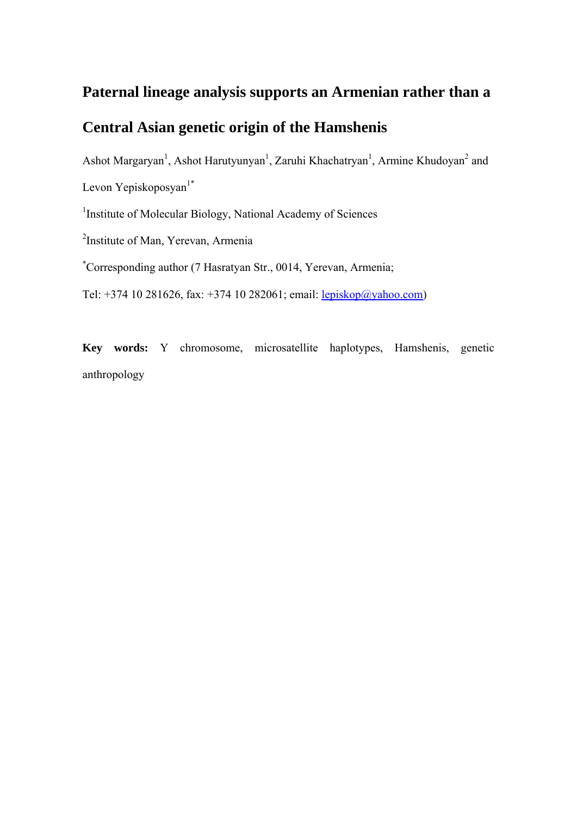### **Paternal lineage analysis supports an Armenian rather than a**

## **Central Asian genetic origin of the Hamshenis**

Ashot Margaryan<sup>1</sup>, Ashot Harutyunyan<sup>1</sup>, Zaruhi Khachatryan<sup>1</sup>, Armine Khudoyan<sup>2</sup> and Levon Yepiskoposyan $1^*$ 

<sup>1</sup> Institute of Molecular Biology, National Academy of Sciences

2 Institute of Man, Yerevan, Armenia

\* Corresponding author (7 Hasratyan Str., 0014, Yerevan, Armenia;

Tel: +374 10 281626, fax: +374 10 282061; email: lepiskop@yahoo.com)

**Key words:** Y chromosome, microsatellite haplotypes, Hamshenis, genetic anthropology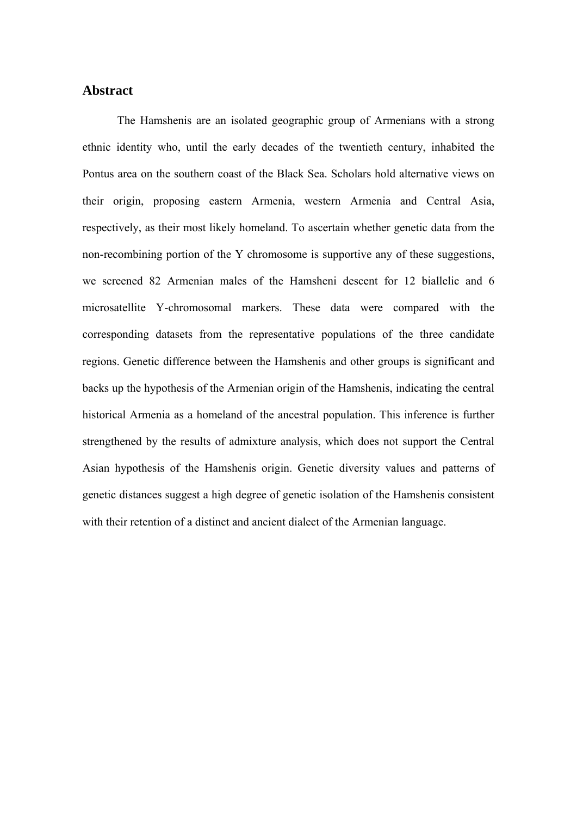#### **Abstract**

The Hamshenis are an isolated geographic group of Armenians with a strong ethnic identity who, until the early decades of the twentieth century, inhabited the Pontus area on the southern coast of the Black Sea. Scholars hold alternative views on their origin, proposing eastern Armenia, western Armenia and Central Asia, respectively, as their most likely homeland. To ascertain whether genetic data from the non-recombining portion of the Y chromosome is supportive any of these suggestions, we screened 82 Armenian males of the Hamsheni descent for 12 biallelic and 6 microsatellite Y-chromosomal markers. These data were compared with the corresponding datasets from the representative populations of the three candidate regions. Genetic difference between the Hamshenis and other groups is significant and backs up the hypothesis of the Armenian origin of the Hamshenis, indicating the central historical Armenia as a homeland of the ancestral population. This inference is further strengthened by the results of admixture analysis, which does not support the Central Asian hypothesis of the Hamshenis origin. Genetic diversity values and patterns of genetic distances suggest a high degree of genetic isolation of the Hamshenis consistent with their retention of a distinct and ancient dialect of the Armenian language.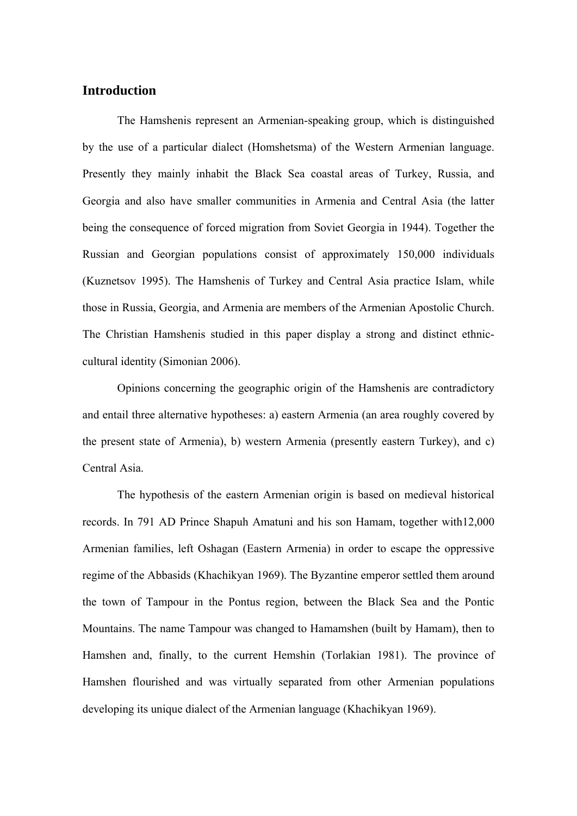#### **Introduction**

The Hamshenis represent an Armenian-speaking group, which is distinguished by the use of a particular dialect (Homshetsma) of the Western Armenian language. Presently they mainly inhabit the Black Sea coastal areas of Turkey, Russia, and Georgia and also have smaller communities in Armenia and Central Asia (the latter being the consequence of forced migration from Soviet Georgia in 1944). Together the Russian and Georgian populations consist of approximately 150,000 individuals (Kuznetsov 1995). The Hamshenis of Turkey and Central Asia practice Islam, while those in Russia, Georgia, and Armenia are members of the Armenian Apostolic Church. The Christian Hamshenis studied in this paper display a strong and distinct ethniccultural identity (Simonian 2006).

Opinions concerning the geographic origin of the Hamshenis are contradictory and entail three alternative hypotheses: a) eastern Armenia (an area roughly covered by the present state of Armenia), b) western Armenia (presently eastern Turkey), and c) Central Asia.

The hypothesis of the eastern Armenian origin is based on medieval historical records. In 791 AD Prince Shapuh Amatuni and his son Hamam, together with12,000 Armenian families, left Oshagan (Eastern Armenia) in order to escape the oppressive regime of the Abbasids (Khachikyan 1969). The Byzantine emperor settled them around the town of Tampour in the Pontus region, between the Black Sea and the Pontic Mountains. The name Tampour was changed to Hamamshen (built by Hamam), then to Hamshen and, finally, to the current Hemshin (Torlakian 1981). The province of Hamshen flourished and was virtually separated from other Armenian populations developing its unique dialect of the Armenian language (Khachikyan 1969).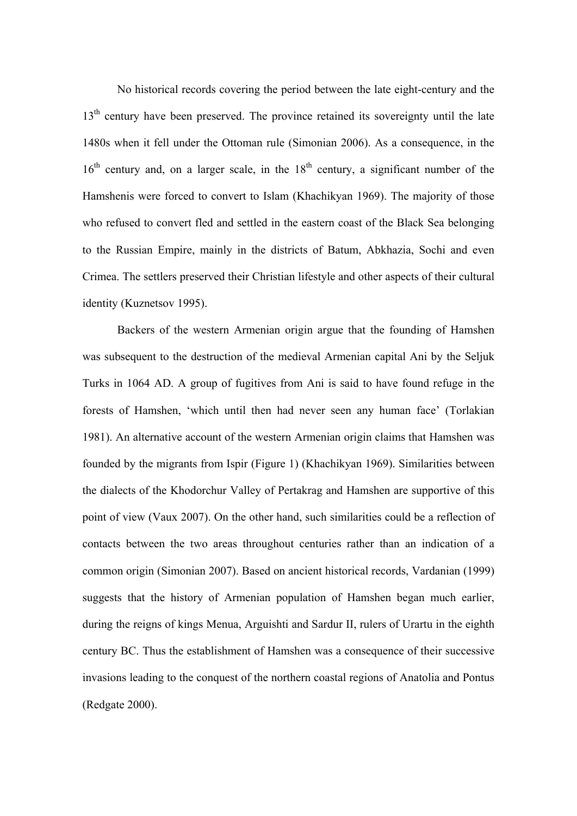No historical records covering the period between the late eight-century and the 13<sup>th</sup> century have been preserved. The province retained its sovereignty until the late 1480s when it fell under the Ottoman rule (Simonian 2006). As a consequence, in the  $16<sup>th</sup>$  century and, on a larger scale, in the  $18<sup>th</sup>$  century, a significant number of the Hamshenis were forced to convert to Islam (Khachikyan 1969). The majority of those who refused to convert fled and settled in the eastern coast of the Black Sea belonging to the Russian Empire, mainly in the districts of Batum, Abkhazia, Sochi and even Crimea. The settlers preserved their Christian lifestyle and other aspects of their cultural identity (Kuznetsov 1995).

Backers of the western Armenian origin argue that the founding of Hamshen was subsequent to the destruction of the medieval Armenian capital Ani by the Seljuk Turks in 1064 AD. A group of fugitives from Ani is said to have found refuge in the forests of Hamshen, 'which until then had never seen any human face' (Torlakian 1981). An alternative account of the western Armenian origin claims that Hamshen was founded by the migrants from Ispir (Figure 1) (Khachikyan 1969). Similarities between the dialects of the Khodorchur Valley of Pertakrag and Hamshen are supportive of this point of view (Vaux 2007). On the other hand, such similarities could be a reflection of contacts between the two areas throughout centuries rather than an indication of a common origin (Simonian 2007). Based on ancient historical records, Vardanian (1999) suggests that the history of Armenian population of Hamshen began much earlier, during the reigns of kings Menua, Arguishti and Sardur II, rulers of Urartu in the eighth century BC. Thus the establishment of Hamshen was a consequence of their successive invasions leading to the conquest of the northern coastal regions of Anatolia and Pontus (Redgate 2000).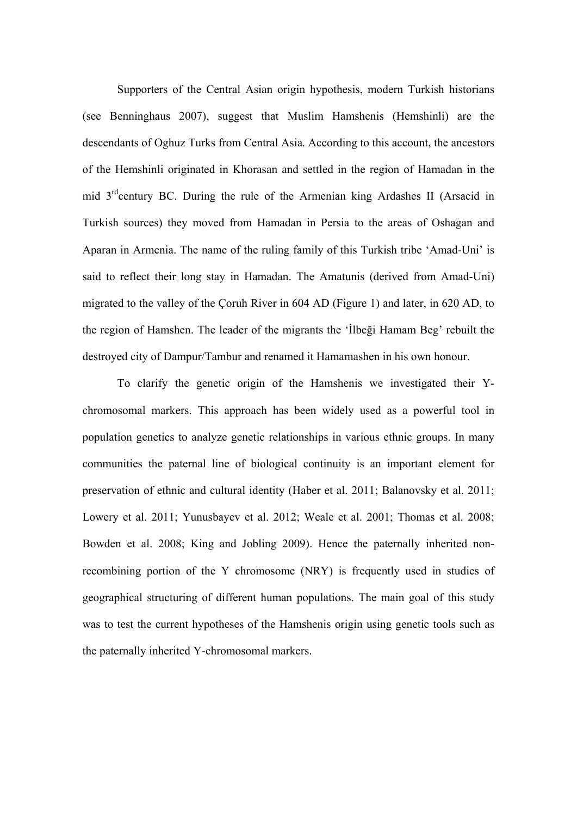Supporters of the Central Asian origin hypothesis, modern Turkish historians (see Benninghaus 2007), suggest that Muslim Hamshenis (Hemshinli) are the descendants of Oghuz Turks from Central Asia. According to this account, the ancestors of the Hemshinli originated in Khorasan and settled in the region of Hamadan in the mid  $3<sup>rd</sup>$ century BC. During the rule of the Armenian king Ardashes II (Arsacid in Turkish sources) they moved from Hamadan in Persia to the areas of Oshagan and Aparan in Armenia. The name of the ruling family of this Turkish tribe 'Amad-Uni' is said to reflect their long stay in Hamadan. The Amatunis (derived from Amad-Uni) migrated to the valley of the Çoruh River in 604 AD (Figure 1) and later, in 620 AD, to the region of Hamshen. The leader of the migrants the 'İlbeği Hamam Beg' rebuilt the destroyed city of Dampur/Tambur and renamed it Hamamashen in his own honour.

To clarify the genetic origin of the Hamshenis we investigated their Ychromosomal markers. This approach has been widely used as a powerful tool in population genetics to analyze genetic relationships in various ethnic groups. In many communities the paternal line of biological continuity is an important element for preservation of ethnic and cultural identity (Haber et al. 2011; Balanovsky et al. 2011; Lowery et al. 2011; Yunusbayev et al. 2012; Weale et al. 2001; Thomas et al. 2008; Bowden et al. 2008; King and Jobling 2009). Hence the paternally inherited nonrecombining portion of the Y chromosome (NRY) is frequently used in studies of geographical structuring of different human populations. The main goal of this study was to test the current hypotheses of the Hamshenis origin using genetic tools such as the paternally inherited Y-chromosomal markers.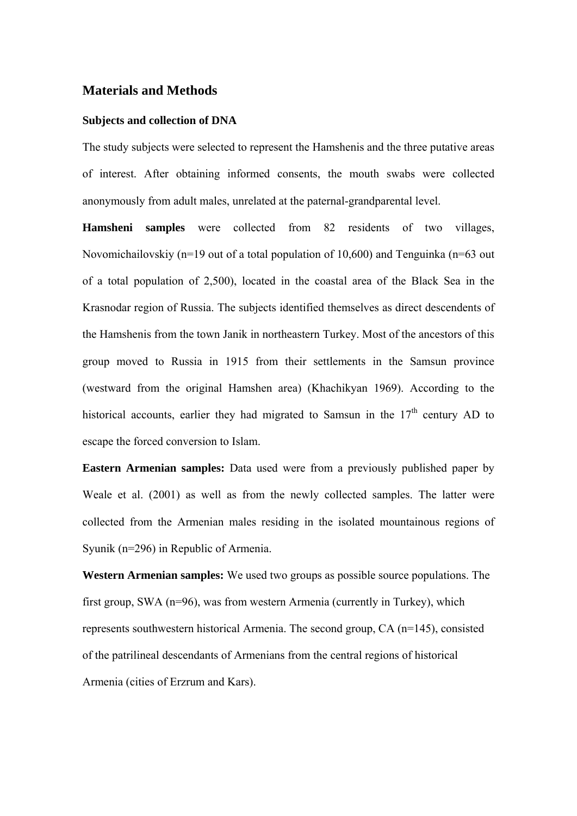#### **Materials and Methods**

#### **Subjects and collection of DNA**

The study subjects were selected to represent the Hamshenis and the three putative areas of interest. After obtaining informed consents, the mouth swabs were collected anonymously from adult males, unrelated at the paternal-grandparental level.

**Hamsheni samples** were collected from 82 residents of two villages, Novomichailovskiy (n=19 out of a total population of 10,600) and Tenguinka (n=63 out of a total population of 2,500), located in the coastal area of the Black Sea in the Krasnodar region of Russia. The subjects identified themselves as direct descendents of the Hamshenis from the town Janik in northeastern Turkey. Most of the ancestors of this group moved to Russia in 1915 from their settlements in the Samsun province (westward from the original Hamshen area) (Khachikyan 1969). According to the historical accounts, earlier they had migrated to Samsun in the  $17<sup>th</sup>$  century AD to escape the forced conversion to Islam.

**Eastern Armenian samples:** Data used were from a previously published paper by Weale et al. (2001) as well as from the newly collected samples. The latter were collected from the Armenian males residing in the isolated mountainous regions of Syunik (n=296) in Republic of Armenia.

**Western Armenian samples:** We used two groups as possible source populations. The first group, SWA (n=96), was from western Armenia (currently in Turkey), which represents southwestern historical Armenia. The second group, CA (n=145), consisted of the patrilineal descendants of Armenians from the central regions of historical Armenia (cities of Erzrum and Kars).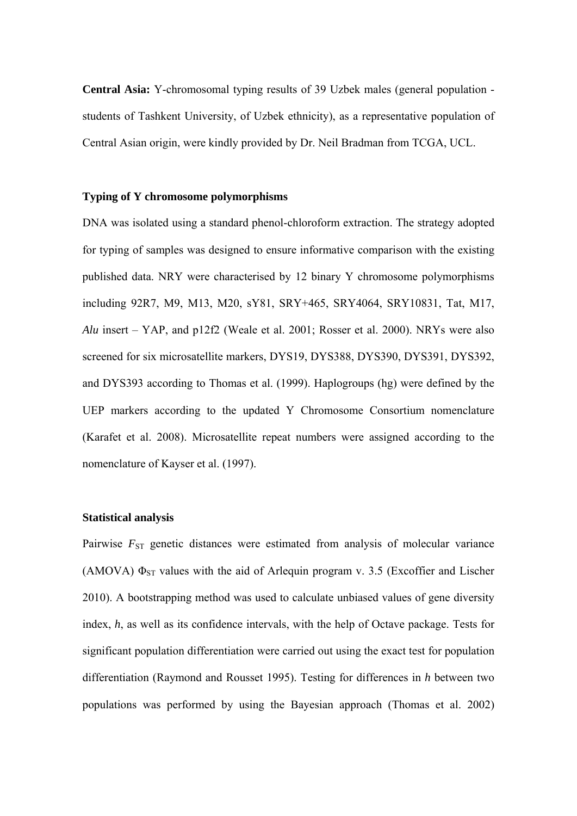**Central Asia:** Y-chromosomal typing results of 39 Uzbek males (general population students of Tashkent University, of Uzbek ethnicity), as a representative population of Central Asian origin, were kindly provided by Dr. Neil Bradman from TCGA, UCL.

#### **Typing of Y chromosome polymorphisms**

DNA was isolated using a standard phenol-chloroform extraction. The strategy adopted for typing of samples was designed to ensure informative comparison with the existing published data. NRY were characterised by 12 binary Y chromosome polymorphisms including 92R7, M9, M13, M20, sY81, SRY+465, SRY4064, SRY10831, Tat, M17, *Alu* insert – YAP, and p12f2 (Weale et al. 2001; Rosser et al. 2000). NRYs were also screened for six microsatellite markers, DYS19, DYS388, DYS390, DYS391, DYS392, and DYS393 according to Thomas et al. (1999). Haplogroups (hg) were defined by the UEP markers according to the updated Y Chromosome Consortium nomenclature (Karafet et al. 2008). Microsatellite repeat numbers were assigned according to the nomenclature of Kayser et al. (1997).

#### **Statistical analysis**

Pairwise  $F_{ST}$  genetic distances were estimated from analysis of molecular variance (AMOVA)  $\Phi_{ST}$  values with the aid of Arlequin program v. 3.5 (Excoffier and Lischer 2010). A bootstrapping method was used to calculate unbiased values of gene diversity index, *h*, as well as its confidence intervals, with the help of Octave package. Tests for significant population differentiation were carried out using the exact test for population differentiation (Raymond and Rousset 1995). Testing for differences in *h* between two populations was performed by using the Bayesian approach (Thomas et al. 2002)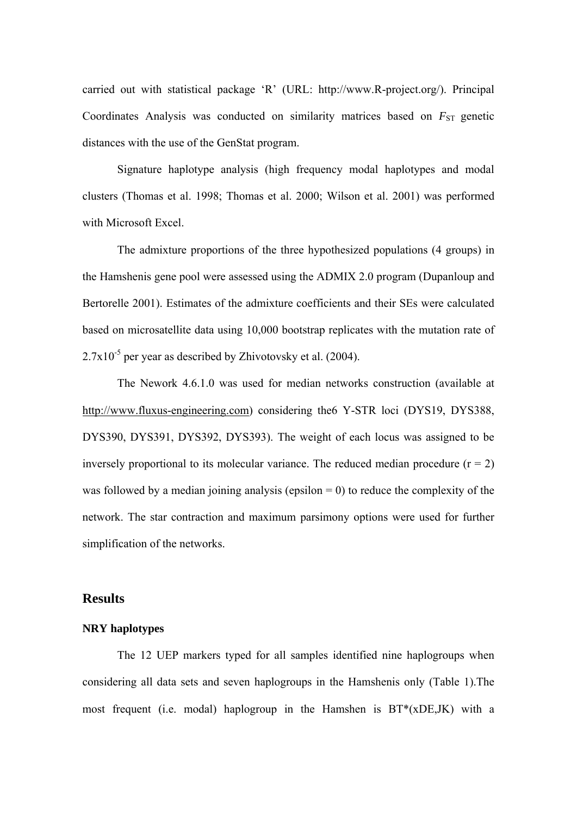carried out with statistical package 'R' (URL: http://www.R-project.org/). Principal Coordinates Analysis was conducted on similarity matrices based on  $F_{ST}$  genetic distances with the use of the GenStat program.

Signature haplotype analysis (high frequency modal haplotypes and modal clusters (Thomas et al. 1998; Thomas et al. 2000; Wilson et al. 2001) was performed with Microsoft Excel.

The admixture proportions of the three hypothesized populations (4 groups) in the Hamshenis gene pool were assessed using the ADMIX 2.0 program (Dupanloup and Bertorelle 2001). Estimates of the admixture coefficients and their SEs were calculated based on microsatellite data using 10,000 bootstrap replicates with the mutation rate of  $2.7x10^{-5}$  per year as described by Zhivotovsky et al. (2004).

The Nework 4.6.1.0 was used for median networks construction (available at http://www.fluxus-engineering.com) considering the 6Y-STR loci (DYS19, DYS388, DYS390, DYS391, DYS392, DYS393). The weight of each locus was assigned to be inversely proportional to its molecular variance. The reduced median procedure  $(r = 2)$ was followed by a median joining analysis (epsilon  $= 0$ ) to reduce the complexity of the network. The star contraction and maximum parsimony options were used for further simplification of the networks.

#### **Results**

#### **NRY haplotypes**

The 12 UEP markers typed for all samples identified nine haplogroups when considering all data sets and seven haplogroups in the Hamshenis only (Table 1).The most frequent (i.e. modal) haplogroup in the Hamshen is BT\*(xDE,JK) with a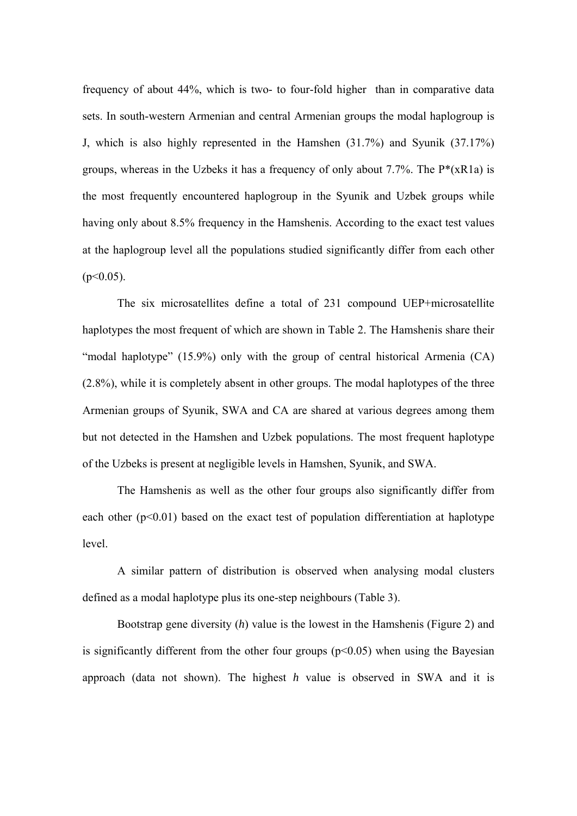frequency of about 44%, which is two- to four-fold higher than in comparative data sets. In south-western Armenian and central Armenian groups the modal haplogroup is J, which is also highly represented in the Hamshen (31.7%) and Syunik (37.17%) groups, whereas in the Uzbeks it has a frequency of only about 7.7%. The  $P^*(xR1a)$  is the most frequently encountered haplogroup in the Syunik and Uzbek groups while having only about 8.5% frequency in the Hamshenis. According to the exact test values at the haplogroup level all the populations studied significantly differ from each other  $(p<0.05)$ .

The six microsatellites define a total of 231 compound UEP+microsatellite haplotypes the most frequent of which are shown in Table 2. The Hamshenis share their "modal haplotype" (15.9%) only with the group of central historical Armenia (CA) (2.8%), while it is completely absent in other groups. The modal haplotypes of the three Armenian groups of Syunik, SWA and CA are shared at various degrees among them but not detected in the Hamshen and Uzbek populations. The most frequent haplotype of the Uzbeks is present at negligible levels in Hamshen, Syunik, and SWA.

The Hamshenis as well as the other four groups also significantly differ from each other  $(p<0.01)$  based on the exact test of population differentiation at haplotype level.

A similar pattern of distribution is observed when analysing modal clusters defined as a modal haplotype plus its one-step neighbours (Table 3).

Bootstrap gene diversity (*h*) value is the lowest in the Hamshenis (Figure 2) and is significantly different from the other four groups  $(p<0.05)$  when using the Bayesian approach (data not shown). The highest *h* value is observed in SWA and it is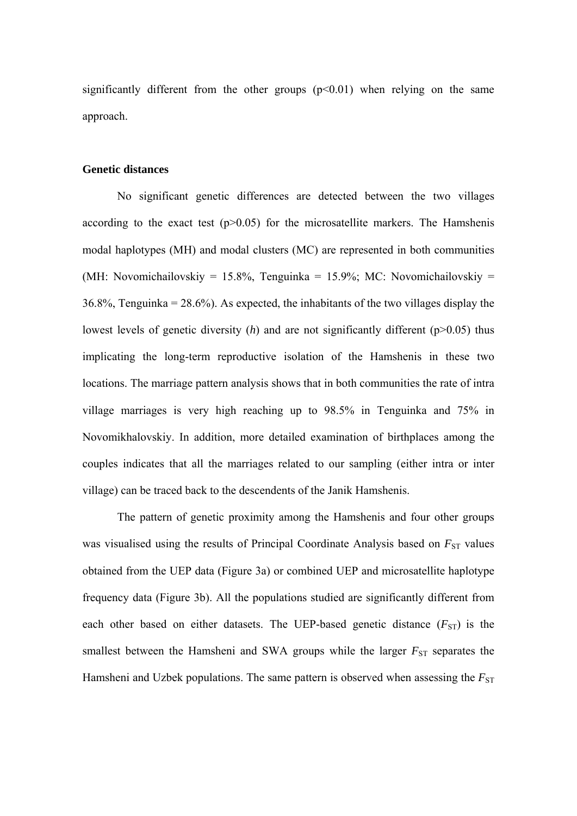significantly different from the other groups  $(p<0.01)$  when relying on the same approach.

#### **Genetic distances**

No significant genetic differences are detected between the two villages according to the exact test  $(p>0.05)$  for the microsatellite markers. The Hamshenis modal haplotypes (MH) and modal clusters (MC) are represented in both communities (MH: Novomichailovskiy = 15.8%, Tenguinka = 15.9%; MC: Novomichailovskiy =  $36.8\%$ , Tenguinka =  $28.6\%$ ). As expected, the inhabitants of the two villages display the lowest levels of genetic diversity  $(h)$  and are not significantly different  $(p>0.05)$  thus implicating the long-term reproductive isolation of the Hamshenis in these two locations. The marriage pattern analysis shows that in both communities the rate of intra village marriages is very high reaching up to 98.5% in Tenguinka and 75% in Novomikhalovskiy. In addition, more detailed examination of birthplaces among the couples indicates that all the marriages related to our sampling (either intra or inter village) can be traced back to the descendents of the Janik Hamshenis.

The pattern of genetic proximity among the Hamshenis and four other groups was visualised using the results of Principal Coordinate Analysis based on  $F_{ST}$  values obtained from the UEP data (Figure 3a) or combined UEP and microsatellite haplotype frequency data (Figure 3b). All the populations studied are significantly different from each other based on either datasets. The UEP-based genetic distance  $(F_{ST})$  is the smallest between the Hamsheni and SWA groups while the larger  $F_{ST}$  separates the Hamsheni and Uzbek populations. The same pattern is observed when assessing the  $F_{ST}$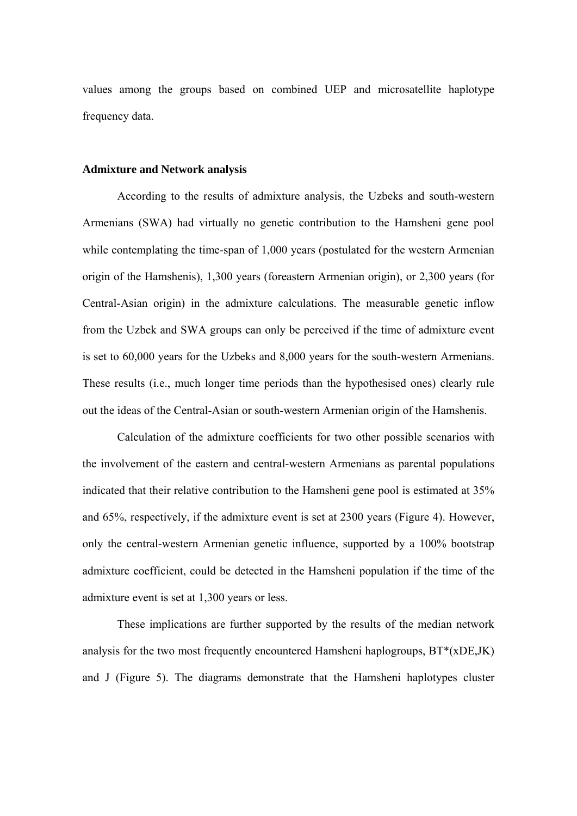values among the groups based on combined UEP and microsatellite haplotype frequency data.

#### **Admixture and Network analysis**

According to the results of admixture analysis, the Uzbeks and south-western Armenians (SWA) had virtually no genetic contribution to the Hamsheni gene pool while contemplating the time-span of 1,000 years (postulated for the western Armenian origin of the Hamshenis), 1,300 years (foreastern Armenian origin), or 2,300 years (for Central-Asian origin) in the admixture calculations. The measurable genetic inflow from the Uzbek and SWA groups can only be perceived if the time of admixture event is set to 60,000 years for the Uzbeks and 8,000 years for the south-western Armenians. These results (i.e., much longer time periods than the hypothesised ones) clearly rule out the ideas of the Central-Asian or south-western Armenian origin of the Hamshenis.

Calculation of the admixture coefficients for two other possible scenarios with the involvement of the eastern and central-western Armenians as parental populations indicated that their relative contribution to the Hamsheni gene pool is estimated at 35% and 65%, respectively, if the admixture event is set at 2300 years (Figure 4). However, only the central-western Armenian genetic influence, supported by a 100% bootstrap admixture coefficient, could be detected in the Hamsheni population if the time of the admixture event is set at 1,300 years or less.

These implications are further supported by the results of the median network analysis for the two most frequently encountered Hamsheni haplogroups, BT\*(xDE,JK) and J (Figure 5). The diagrams demonstrate that the Hamsheni haplotypes cluster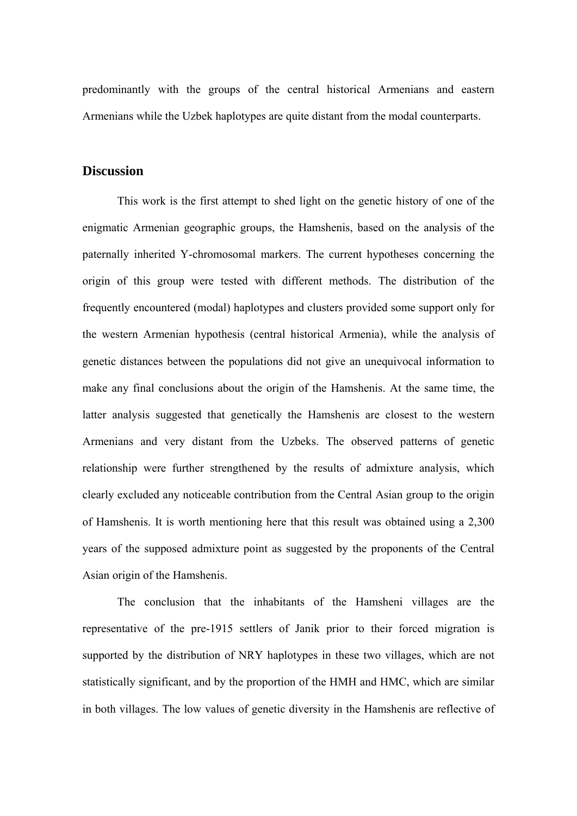predominantly with the groups of the central historical Armenians and eastern Armenians while the Uzbek haplotypes are quite distant from the modal counterparts.

#### **Discussion**

This work is the first attempt to shed light on the genetic history of one of the enigmatic Armenian geographic groups, the Hamshenis, based on the analysis of the paternally inherited Y-chromosomal markers. The current hypotheses concerning the origin of this group were tested with different methods. The distribution of the frequently encountered (modal) haplotypes and clusters provided some support only for the western Armenian hypothesis (central historical Armenia), while the analysis of genetic distances between the populations did not give an unequivocal information to make any final conclusions about the origin of the Hamshenis. At the same time, the latter analysis suggested that genetically the Hamshenis are closest to the western Armenians and very distant from the Uzbeks. The observed patterns of genetic relationship were further strengthened by the results of admixture analysis, which clearly excluded any noticeable contribution from the Central Asian group to the origin of Hamshenis. It is worth mentioning here that this result was obtained using a 2,300 years of the supposed admixture point as suggested by the proponents of the Central Asian origin of the Hamshenis.

The conclusion that the inhabitants of the Hamsheni villages are the representative of the pre-1915 settlers of Janik prior to their forced migration is supported by the distribution of NRY haplotypes in these two villages, which are not statistically significant, and by the proportion of the HMH and HMC, which are similar in both villages. The low values of genetic diversity in the Hamshenis are reflective of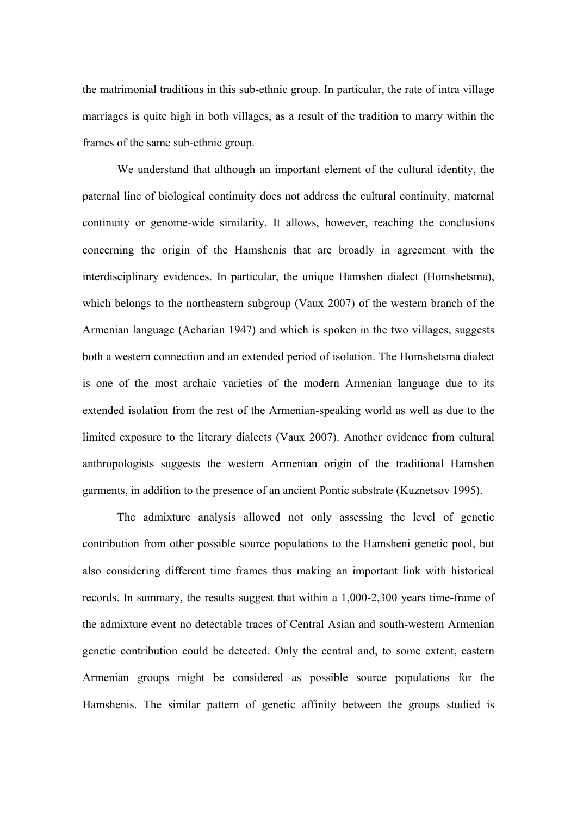the matrimonial traditions in this sub-ethnic group. In particular, the rate of intra village marriages is quite high in both villages, as a result of the tradition to marry within the frames of the same sub-ethnic group.

We understand that although an important element of the cultural identity, the paternal line of biological continuity does not address the cultural continuity, maternal continuity or genome-wide similarity. It allows, however, reaching the conclusions concerning the origin of the Hamshenis that are broadly in agreement with the interdisciplinary evidences. In particular, the unique Hamshen dialect (Homshetsma), which belongs to the northeastern subgroup (Vaux 2007) of the western branch of the Armenian language (Acharian 1947) and which is spoken in the two villages, suggests both a western connection and an extended period of isolation. The Homshetsma dialect is one of the most archaic varieties of the modern Armenian language due to its extended isolation from the rest of the Armenian-speaking world as well as due to the limited exposure to the literary dialects (Vaux 2007). Another evidence from cultural anthropologists suggests the western Armenian origin of the traditional Hamshen garments, in addition to the presence of an ancient Pontic substrate (Kuznetsov 1995).

The admixture analysis allowed not only assessing the level of genetic contribution from other possible source populations to the Hamsheni genetic pool, but also considering different time frames thus making an important link with historical records. In summary, the results suggest that within a 1,000-2,300 years time-frame of the admixture event no detectable traces of Central Asian and south-western Armenian genetic contribution could be detected. Only the central and, to some extent, eastern Armenian groups might be considered as possible source populations for the Hamshenis. The similar pattern of genetic affinity between the groups studied is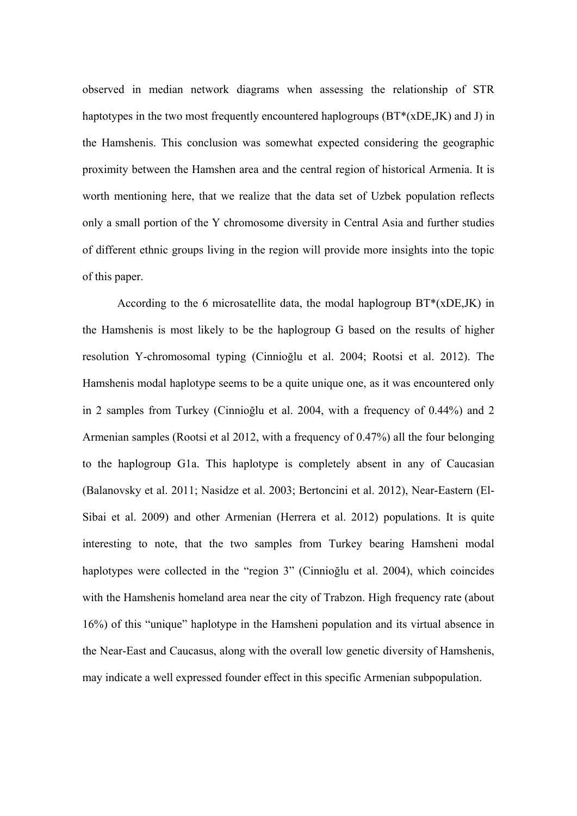observed in median network diagrams when assessing the relationship of STR haptotypes in the two most frequently encountered haplogroups (BT\*(xDE,JK) and J) in the Hamshenis. This conclusion was somewhat expected considering the geographic proximity between the Hamshen area and the central region of historical Armenia. It is worth mentioning here, that we realize that the data set of Uzbek population reflects only a small portion of the Y chromosome diversity in Central Asia and further studies of different ethnic groups living in the region will provide more insights into the topic of this paper.

According to the 6 microsatellite data, the modal haplogroup  $BT^*(xDEJK)$  in the Hamshenis is most likely to be the haplogroup G based on the results of higher resolution Y-chromosomal typing (Cinnioğlu et al. 2004; Rootsi et al. 2012). The Hamshenis modal haplotype seems to be a quite unique one, as it was encountered only in 2 samples from Turkey (Cinnioğlu et al. 2004, with a frequency of 0.44%) and 2 Armenian samples (Rootsi et al 2012, with a frequency of 0.47%) all the four belonging to the haplogroup G1a. This haplotype is completely absent in any of Caucasian (Balanovsky et al. 2011; Nasidze et al. 2003; Bertoncini et al. 2012), Near-Eastern (El-Sibai et al. 2009) and other Armenian (Herrera et al. 2012) populations. It is quite interesting to note, that the two samples from Turkey bearing Hamsheni modal haplotypes were collected in the "region 3" (Cinnioğlu et al. 2004), which coincides with the Hamshenis homeland area near the city of Trabzon. High frequency rate (about 16%) of this "unique" haplotype in the Hamsheni population and its virtual absence in the Near-East and Caucasus, along with the overall low genetic diversity of Hamshenis, may indicate a well expressed founder effect in this specific Armenian subpopulation.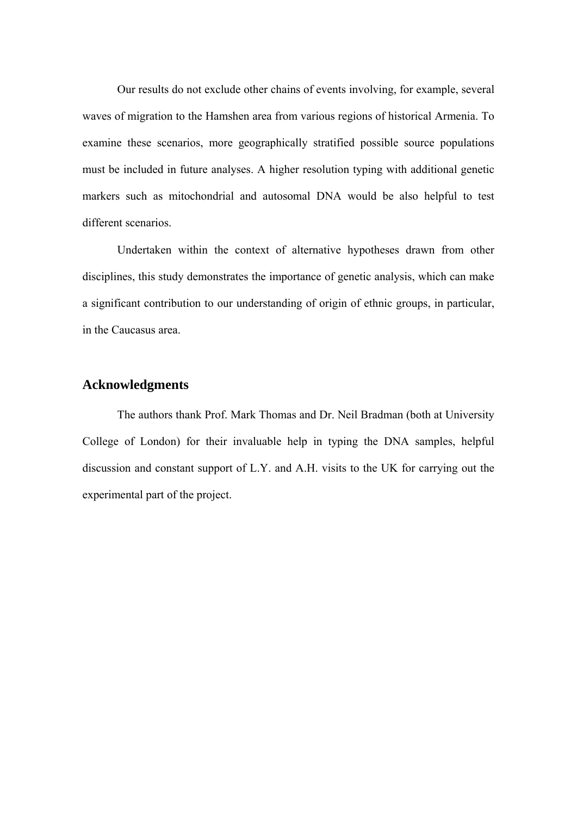Our results do not exclude other chains of events involving, for example, several waves of migration to the Hamshen area from various regions of historical Armenia. To examine these scenarios, more geographically stratified possible source populations must be included in future analyses. A higher resolution typing with additional genetic markers such as mitochondrial and autosomal DNA would be also helpful to test different scenarios.

Undertaken within the context of alternative hypotheses drawn from other disciplines, this study demonstrates the importance of genetic analysis, which can make a significant contribution to our understanding of origin of ethnic groups, in particular, in the Caucasus area.

#### **Acknowledgments**

The authors thank Prof. Mark Thomas and Dr. Neil Bradman (both at University College of London) for their invaluable help in typing the DNA samples, helpful discussion and constant support of L.Y. and A.H. visits to the UK for carrying out the experimental part of the project.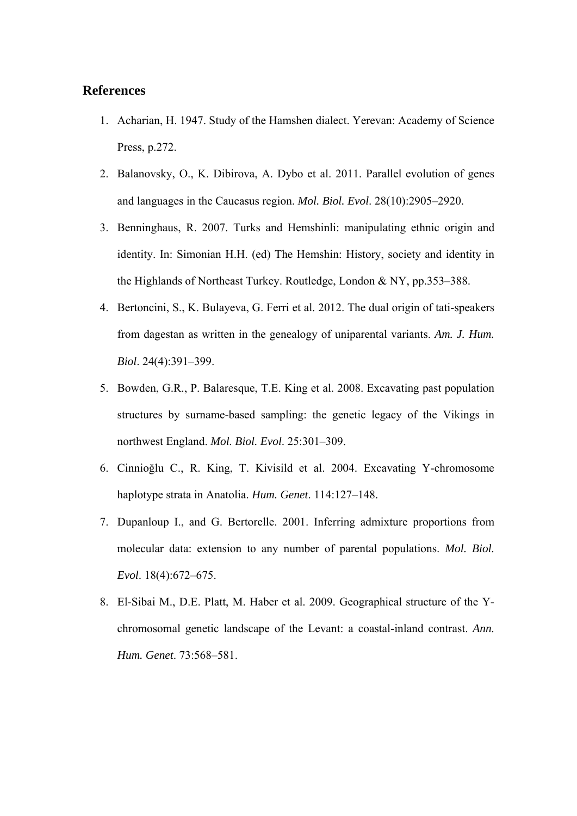#### **References**

- 1. Acharian, H. 1947. Study of the Hamshen dialect. Yerevan: Academy of Science Press, p.272.
- 2. Balanovsky, O., K. Dibirova, A. Dybo et al. 2011. Parallel evolution of genes and languages in the Caucasus region. *Mol. Biol. Evol*. 28(10):2905–2920.
- 3. Benninghaus, R. 2007. Turks and Hemshinli: manipulating ethnic origin and identity. In: Simonian H.H. (ed) The Hemshin: History, society and identity in the Highlands of Northeast Turkey. Routledge, London & NY, pp.353–388.
- 4. Bertoncini, S., K. Bulayeva, G. Ferri et al. 2012. The dual origin of tati-speakers from dagestan as written in the genealogy of uniparental variants. *Am. J. Hum. Biol*. 24(4):391–399.
- 5. Bowden, G.R., P. Balaresque, T.E. King et al. 2008. Excavating past population structures by surname-based sampling: the genetic legacy of the Vikings in northwest England. *Mol. Biol. Evol*. 25:301–309.
- 6. Cinnioğlu C., R. King, T. Kivisild et al. 2004. Excavating Y-chromosome haplotype strata in Anatolia. *Hum. Genet*. 114:127–148.
- 7. Dupanloup I., and G. Bertorelle. 2001. Inferring admixture proportions from molecular data: extension to any number of parental populations. *Mol. Biol. Evol*. 18(4):672–675.
- 8. El-Sibai M., D.E. Platt, M. Haber et al. 2009. Geographical structure of the Ychromosomal genetic landscape of the Levant: a coastal-inland contrast. *Ann. Hum. Genet*. 73:568–581.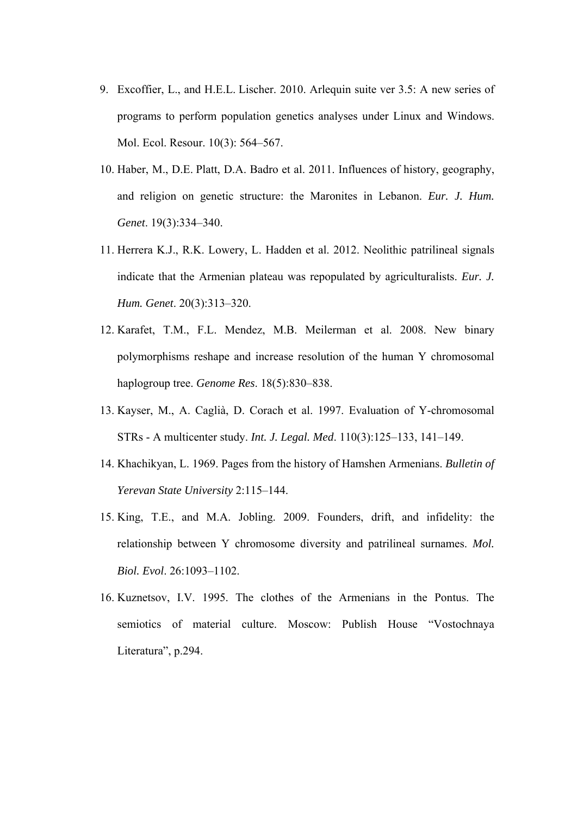- 9. Excoffier, L., and H.E.L. Lischer. 2010. Arlequin suite ver 3.5: A new series of programs to perform population genetics analyses under Linux and Windows. Mol. Ecol. Resour. 10(3): 564–567.
- 10. Haber, M., D.E. Platt, D.A. Badro et al. 2011. Influences of history, geography, and religion on genetic structure: the Maronites in Lebanon. *Eur. J. Hum. Genet*. 19(3):334–340.
- 11. Herrera K.J., R.K. Lowery, L. Hadden et al. 2012. Neolithic patrilineal signals indicate that the Armenian plateau was repopulated by agriculturalists. *Eur. J. Hum. Genet*. 20(3):313–320.
- 12. Karafet, T.M., F.L. Mendez, M.B. Meilerman et al. 2008. New binary polymorphisms reshape and increase resolution of the human Y chromosomal haplogroup tree. *Genome Res*. 18(5):830–838.
- 13. Kayser, M., A. Caglià, D. Corach et al. 1997. Evaluation of Y-chromosomal STRs - A multicenter study. *Int. J. Legal. Med*. 110(3):125–133, 141–149.
- 14. Khachikyan, L. 1969. Pages from the history of Hamshen Armenians. *Bulletin of Yerevan State University* 2:115–144.
- 15. King, T.E., and M.A. Jobling. 2009. Founders, drift, and infidelity: the relationship between Y chromosome diversity and patrilineal surnames. *Mol. Biol. Evol*. 26:1093–1102.
- 16. Kuznetsov, I.V. 1995. The clothes of the Armenians in the Pontus. The semiotics of material culture. Moscow: Publish House "Vostochnaya Literatura", p.294.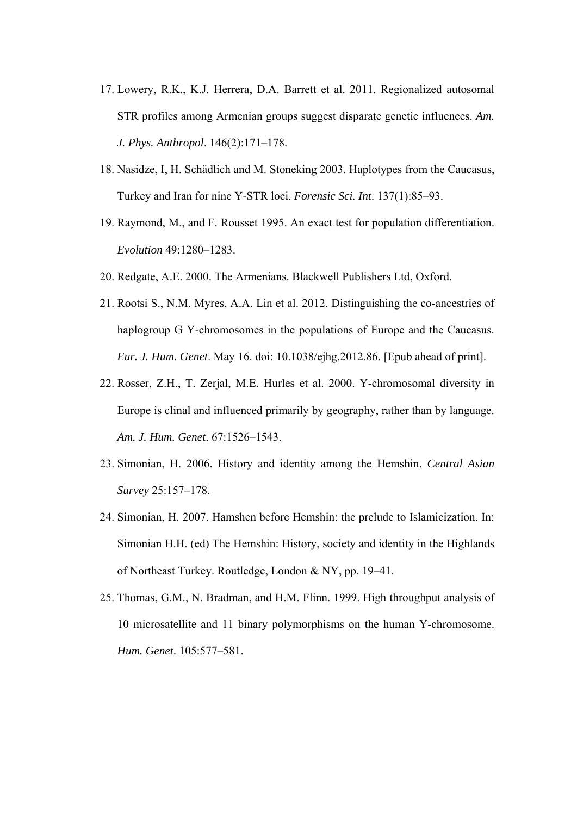- 17. Lowery, R.K., K.J. Herrera, D.A. Barrett et al. 2011. Regionalized autosomal STR profiles among Armenian groups suggest disparate genetic influences. *Am. J. Phys. Anthropol*. 146(2):171–178.
- 18. Nasidze, I, H. Schädlich and M. Stoneking 2003. Haplotypes from the Caucasus, Turkey and Iran for nine Y-STR loci. *Forensic Sci. Int*. 137(1):85–93.
- 19. Raymond, M., and F. Rousset 1995. An exact test for population differentiation. *Evolution* 49:1280–1283.
- 20. Redgate, A.E. 2000. The Armenians. Blackwell Publishers Ltd, Oxford.
- 21. Rootsi S., N.M. Myres, A.A. Lin et al. 2012. Distinguishing the co-ancestries of haplogroup G Y-chromosomes in the populations of Europe and the Caucasus. *Eur. J. Hum. Genet*. May 16. doi: 10.1038/ejhg.2012.86. [Epub ahead of print].
- 22. Rosser, Z.H., T. Zerjal, M.E. Hurles et al. 2000. Y-chromosomal diversity in Europe is clinal and influenced primarily by geography, rather than by language. *Am. J. Hum. Genet*. 67:1526–1543.
- 23. Simonian, H. 2006. History and identity among the Hemshin. *Central Asian Survey* 25:157–178.
- 24. Simonian, H. 2007. Hamshen before Hemshin: the prelude to Islamicization. In: Simonian H.H. (ed) The Hemshin: History, society and identity in the Highlands of Northeast Turkey. Routledge, London & NY, pp. 19–41.
- 25. Thomas, G.M., N. Bradman, and H.M. Flinn. 1999. High throughput analysis of 10 microsatellite and 11 binary polymorphisms on the human Y-chromosome. *Hum. Genet*. 105:577–581.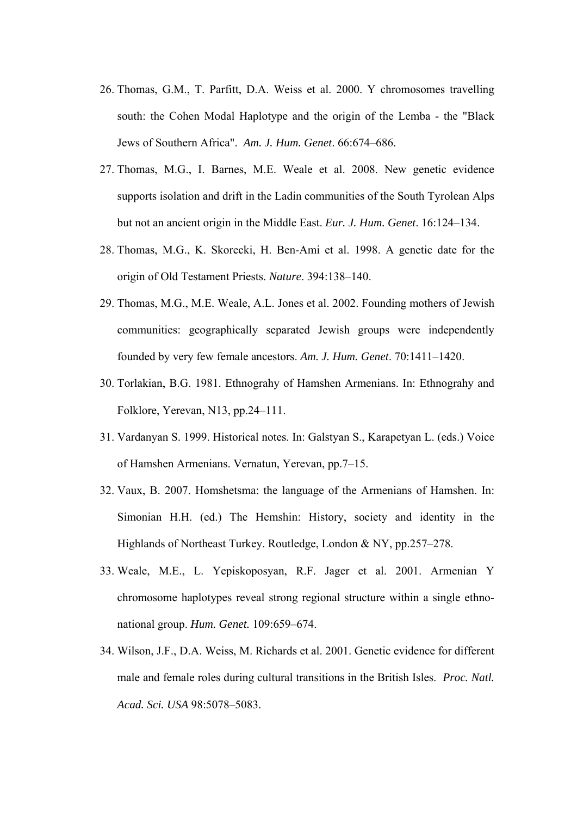- 26. Thomas, G.M., T. Parfitt, D.A. Weiss et al. 2000. Y chromosomes travelling south: the Cohen Modal Haplotype and the origin of the Lemba - the "Black Jews of Southern Africa". *Am. J. Hum. Genet*. 66:674–686.
- 27. Thomas, M.G., I. Barnes, M.E. Weale et al. 2008. New genetic evidence supports isolation and drift in the Ladin communities of the South Tyrolean Alps but not an ancient origin in the Middle East. *Eur. J. Hum. Genet*. 16:124–134.
- 28. Thomas, M.G., K. Skorecki, H. Ben-Ami et al. 1998. A genetic date for the origin of Old Testament Priests. *Nature*. 394:138–140.
- 29. Thomas, M.G., M.E. Weale, A.L. Jones et al. 2002. Founding mothers of Jewish communities: geographically separated Jewish groups were independently founded by very few female ancestors. *Am. J. Hum. Genet*. 70:1411–1420.
- 30. Torlakian, B.G. 1981. Ethnograhy of Hamshen Armenians. In: Ethnograhy and Folklore, Yerevan, N13, pp.24–111.
- 31. Vardanyan S. 1999. Historical notes. In: Galstyan S., Karapetyan L. (eds.) Voice of Hamshen Armenians. Vernatun, Yerevan, pp.7–15.
- 32. Vaux, B. 2007. Homshetsma: the language of the Armenians of Hamshen. In: Simonian H.H. (ed.) The Hemshin: History, society and identity in the Highlands of Northeast Turkey. Routledge, London & NY, pp.257–278.
- 33. Weale, M.E., L. Yepiskoposyan, R.F. Jager et al. 2001. Armenian Y chromosome haplotypes reveal strong regional structure within a single ethnonational group. *Hum. Genet.* 109:659–674.
- 34. Wilson, J.F., D.A. Weiss, M. Richards et al. 2001. Genetic evidence for different male and female roles during cultural transitions in the British Isles. *Proc. Natl. Acad. Sci. USA* 98:5078–5083.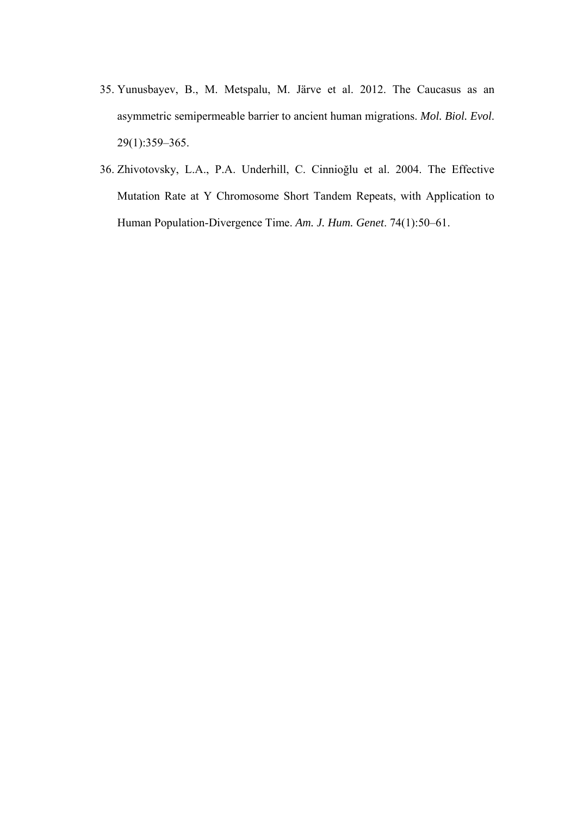- 35. Yunusbayev, B., M. Metspalu, M. Järve et al. 2012. The Caucasus as an asymmetric semipermeable barrier to ancient human migrations. *Mol. Biol. Evol*. 29(1):359–365.
- 36. Zhivotovsky, L.A., P.A. Underhill, C. Cinnioğlu et al. 2004. The Effective Mutation Rate at Y Chromosome Short Tandem Repeats, with Application to Human Population-Divergence Time. *Am. J. Hum. Genet*. 74(1):50–61.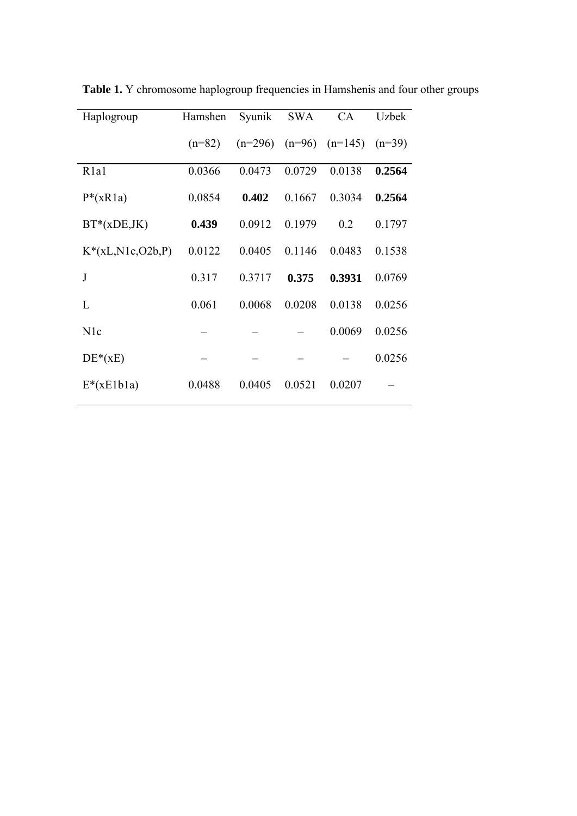| Haplogroup                    | Hamshen  | Syunik    | <b>SWA</b> | <b>CA</b> | <b>Uzbek</b> |
|-------------------------------|----------|-----------|------------|-----------|--------------|
|                               | $(n=82)$ | $(n=296)$ | $(n=96)$   | $(n=145)$ | $(n=39)$     |
| R <sub>1</sub> a <sub>1</sub> | 0.0366   | 0.0473    | 0.0729     | 0.0138    | 0.2564       |
| $P^*(xR1a)$                   | 0.0854   | 0.402     | 0.1667     | 0.3034    | 0.2564       |
| $BT*(xDE,JK)$                 | 0.439    | 0.0912    | 0.1979     | 0.2       | 0.1797       |
| $K^*(xL,N1c, O2b, P)$         | 0.0122   | 0.0405    | 0.1146     | 0.0483    | 0.1538       |
| J                             | 0.317    | 0.3717    | 0.375      | 0.3931    | 0.0769       |
| L                             | 0.061    | 0.0068    | 0.0208     | 0.0138    | 0.0256       |
| N <sub>1</sub> c              |          |           |            | 0.0069    | 0.0256       |
| $DE*(xE)$                     |          |           |            |           | 0.0256       |
| $E^*(xE1b1a)$                 | 0.0488   | 0.0405    | 0.0521     | 0.0207    |              |

**Table 1.** Y chromosome haplogroup frequencies in Hamshenis and four other groups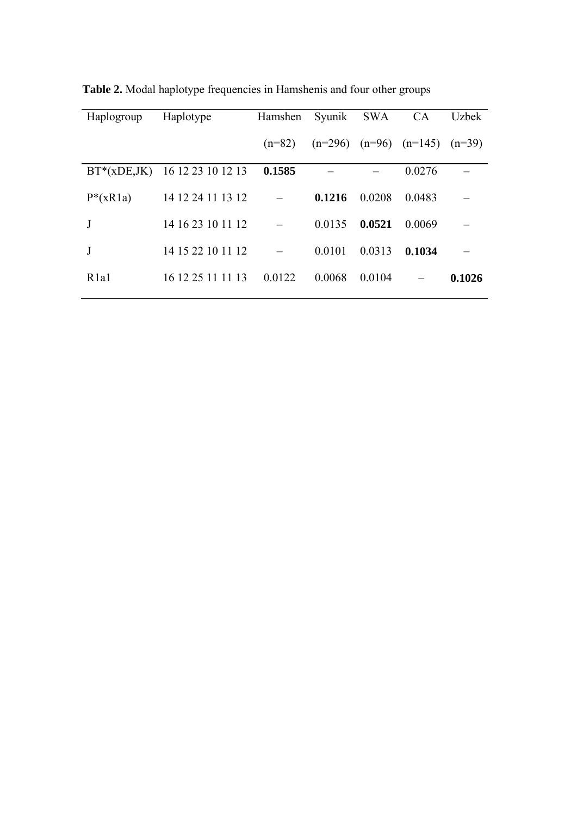| Haplogroup                    | Haplotype                     | Hamshen  | Syunik SWA |          | <b>CA</b> | <b>Uzbek</b> |
|-------------------------------|-------------------------------|----------|------------|----------|-----------|--------------|
|                               |                               | $(n=82)$ | $(n=296)$  | $(n=96)$ | $(n=145)$ | $(n=39)$     |
|                               | BT*(xDE,JK) 16 12 23 10 12 13 | 0.1585   |            |          | 0.0276    |              |
| $P^*(xR1a)$                   | 14 12 24 11 13 12             |          | 0.1216     | 0.0208   | 0.0483    |              |
| J                             | 14 16 23 10 11 12             |          | 0.0135     | 0.0521   | 0.0069    |              |
|                               | 14 15 22 10 11 12             |          | 0.0101     | 0.0313   | 0.1034    |              |
| R <sub>1</sub> a <sub>1</sub> | 16 12 25 11 11 13             | 0.0122   | 0.0068     | 0.0104   |           | 0.1026       |

**Table 2.** Modal haplotype frequencies in Hamshenis and four other groups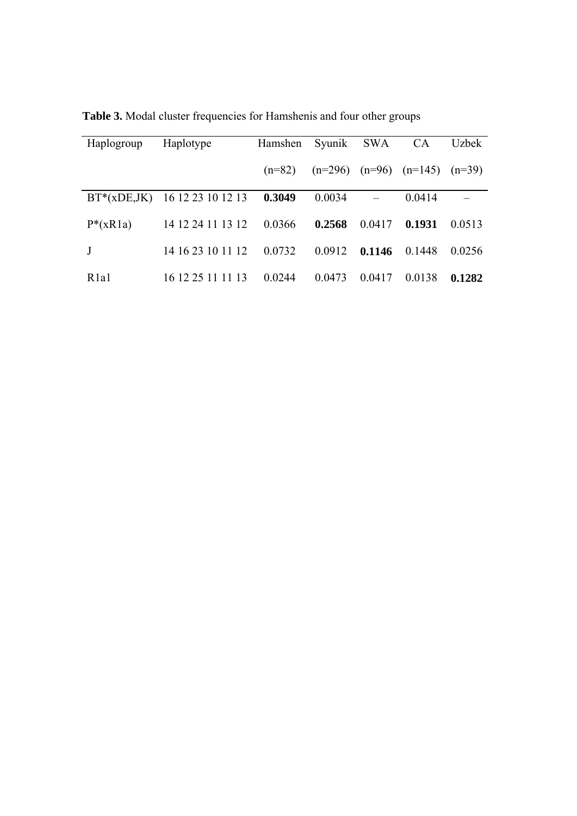| Haplogroup                    | Haplotype                     | Hamshen  |           | Syunik SWA | <b>CA</b> | <b>Uzbek</b> |
|-------------------------------|-------------------------------|----------|-----------|------------|-----------|--------------|
|                               |                               | $(n=82)$ | $(n=296)$ | $(n=96)$   | $(n=145)$ | $(n=39)$     |
|                               | BT*(xDE,JK) 16 12 23 10 12 13 | 0.3049   | 0.0034    |            | 0.0414    |              |
| $P^*(xR1a)$                   | 14 12 24 11 13 12             | 0.0366   | 0.2568    | 0.0417     | 0.1931    | 0.0513       |
| J                             | 14 16 23 10 11 12             | 0.0732   | 0.0912    | 0.1146     | 0.1448    | 0.0256       |
| R <sub>1</sub> a <sub>1</sub> | 16 12 25 11 11 13             | 0.0244   | 0.0473    | 0.0417     | 0.0138    | 0.1282       |

**Table 3.** Modal cluster frequencies for Hamshenis and four other groups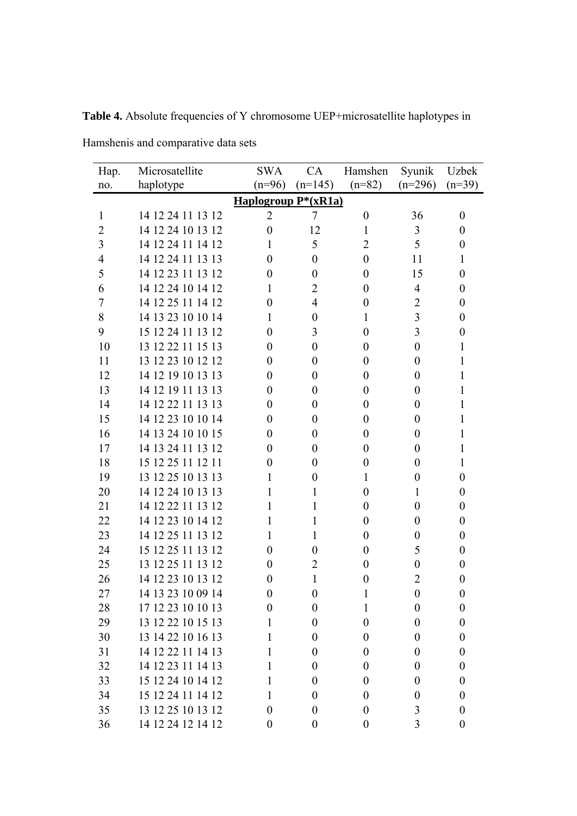| Hap.           | Microsatellite    | <b>SWA</b>          | CA               | Hamshen          | Syunik           | Uzbek            |
|----------------|-------------------|---------------------|------------------|------------------|------------------|------------------|
| no.            | haplotype         | $(n=96)$            | $(n=145)$        | $(n=82)$         | $(n=296)$        | $(n=39)$         |
|                |                   | Haplogroup P*(xR1a) |                  |                  |                  |                  |
| $\mathbf{1}$   | 14 12 24 11 13 12 | $\overline{2}$      | 7                | $\boldsymbol{0}$ | 36               | $\boldsymbol{0}$ |
| $\overline{2}$ | 14 12 24 10 13 12 | $\overline{0}$      | 12               | 1                | 3                | $\boldsymbol{0}$ |
| 3              | 14 12 24 11 14 12 | 1                   | 5                | $\overline{2}$   | 5                | $\theta$         |
| 4              | 14 12 24 11 13 13 | 0                   | $\boldsymbol{0}$ | $\boldsymbol{0}$ | 11               | 1                |
| 5              | 14 12 23 11 13 12 | $\overline{0}$      | $\boldsymbol{0}$ | $\boldsymbol{0}$ | 15               | $\boldsymbol{0}$ |
| 6              | 14 12 24 10 14 12 | 1                   | $\overline{2}$   | $\boldsymbol{0}$ | $\overline{4}$   | 0                |
| 7              | 14 12 25 11 14 12 | $\overline{0}$      | 4                | $\boldsymbol{0}$ | $\overline{2}$   | $\boldsymbol{0}$ |
| 8              | 14 13 23 10 10 14 | 1                   | $\boldsymbol{0}$ | 1                | 3                | 0                |
| 9              | 15 12 24 11 13 12 | $\overline{0}$      | 3                | $\boldsymbol{0}$ | 3                | $\boldsymbol{0}$ |
| 10             | 13 12 22 11 15 13 | 0                   | $\boldsymbol{0}$ | $\boldsymbol{0}$ | $\boldsymbol{0}$ | 1                |
| 11             | 13 12 23 10 12 12 | $\overline{0}$      | $\boldsymbol{0}$ | $\boldsymbol{0}$ | $\boldsymbol{0}$ | 1                |
| 12             | 14 12 19 10 13 13 | $\overline{0}$      | $\boldsymbol{0}$ | $\boldsymbol{0}$ | $\boldsymbol{0}$ | 1                |
| 13             | 14 12 19 11 13 13 | $\overline{0}$      | $\boldsymbol{0}$ | $\boldsymbol{0}$ | $\boldsymbol{0}$ | 1                |
| 14             | 14 12 22 11 13 13 | 0                   | $\boldsymbol{0}$ | $\boldsymbol{0}$ | $\boldsymbol{0}$ | 1                |
| 15             | 14 12 23 10 10 14 | $\overline{0}$      | $\boldsymbol{0}$ | $\boldsymbol{0}$ | $\boldsymbol{0}$ | 1                |
| 16             | 14 13 24 10 10 15 | $\overline{0}$      | $\boldsymbol{0}$ | $\boldsymbol{0}$ | $\boldsymbol{0}$ | 1                |
| 17             | 14 13 24 11 13 12 | $\overline{0}$      | $\boldsymbol{0}$ | $\boldsymbol{0}$ | $\boldsymbol{0}$ | 1                |
| 18             | 15 12 25 11 12 11 | 0                   | $\boldsymbol{0}$ | $\boldsymbol{0}$ | $\boldsymbol{0}$ | 1                |
| 19             | 13 12 25 10 13 13 | 1                   | $\boldsymbol{0}$ | 1                | $\boldsymbol{0}$ | $\theta$         |
| 20             | 14 12 24 10 13 13 | 1                   | 1                | $\boldsymbol{0}$ | 1                | $\boldsymbol{0}$ |
| 21             | 14 12 22 11 13 12 | 1                   | 1                | $\boldsymbol{0}$ | $\boldsymbol{0}$ | $\boldsymbol{0}$ |
| 22             | 14 12 23 10 14 12 | 1                   | 1                | $\boldsymbol{0}$ | $\boldsymbol{0}$ | 0                |
| 23             | 14 12 25 11 13 12 | 1                   | 1                | $\boldsymbol{0}$ | $\boldsymbol{0}$ | $\theta$         |
| 24             | 15 12 25 11 13 12 | 0                   | $\overline{0}$   | $\boldsymbol{0}$ | 5                | 0                |
| 25             | 13 12 25 11 13 12 | $\overline{0}$      | $\overline{2}$   | $\boldsymbol{0}$ | $\boldsymbol{0}$ | $\boldsymbol{0}$ |
| 26             | 14 12 23 10 13 12 | 0                   | 1                | 0                | $\overline{2}$   | 0                |
| 27             | 14 13 23 10 09 14 | $\boldsymbol{0}$    | $\boldsymbol{0}$ | 1                | $\boldsymbol{0}$ | $\boldsymbol{0}$ |
| 28             | 17 12 23 10 10 13 | $\overline{0}$      | $\boldsymbol{0}$ | 1                | $\boldsymbol{0}$ | $\boldsymbol{0}$ |
| 29             | 13 12 22 10 15 13 | $\mathbf{1}$        | $\overline{0}$   | $\boldsymbol{0}$ | $\boldsymbol{0}$ | $\overline{0}$   |
| 30             | 13 14 22 10 16 13 | 1                   | $\boldsymbol{0}$ | $\boldsymbol{0}$ | $\boldsymbol{0}$ | $\boldsymbol{0}$ |
| 31             | 14 12 22 11 14 13 | 1                   | $\boldsymbol{0}$ | $\boldsymbol{0}$ | $\boldsymbol{0}$ | $\boldsymbol{0}$ |
| 32             | 14 12 23 11 14 13 | 1                   | $\boldsymbol{0}$ | $\boldsymbol{0}$ | $\boldsymbol{0}$ | $\boldsymbol{0}$ |
| 33             | 15 12 24 10 14 12 | $\mathbf{1}$        | $\theta$         | $\boldsymbol{0}$ | $\boldsymbol{0}$ | $\boldsymbol{0}$ |
| 34             | 15 12 24 11 14 12 | 1                   | $\boldsymbol{0}$ | $\boldsymbol{0}$ | $\boldsymbol{0}$ | $\boldsymbol{0}$ |
| 35             | 13 12 25 10 13 12 | $\boldsymbol{0}$    | $\boldsymbol{0}$ | $\boldsymbol{0}$ | 3                | $\boldsymbol{0}$ |
| 36             | 14 12 24 12 14 12 | $\overline{0}$      | $\boldsymbol{0}$ | $\boldsymbol{0}$ | 3                | $\overline{0}$   |

**Table 4.** Absolute frequencies of Y chromosome UEP+microsatellite haplotypes in

Hamshenis and comparative data sets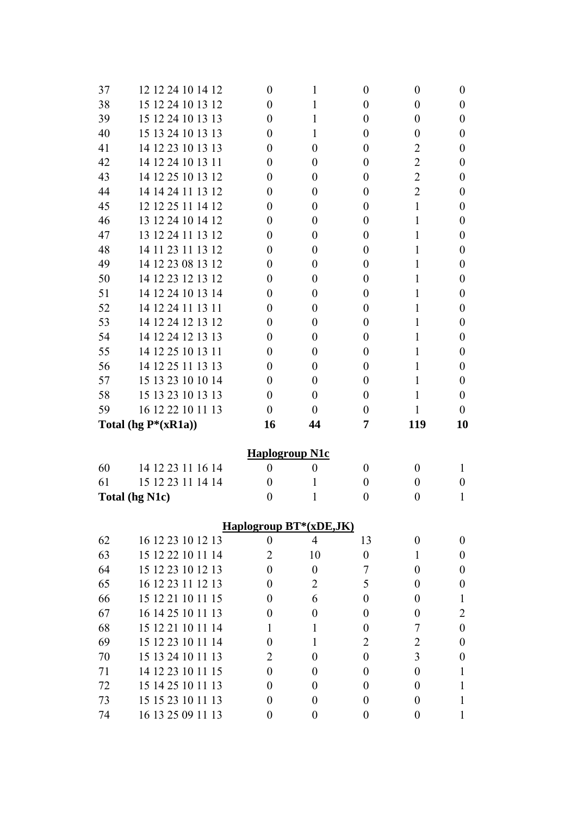| 37 | 12 12 24 10 14 12       | $\boldsymbol{0}$      | 1                      | $\theta$         | $\boldsymbol{0}$ | $\boldsymbol{0}$ |
|----|-------------------------|-----------------------|------------------------|------------------|------------------|------------------|
| 38 | 15 12 24 10 13 12       | $\theta$              | 1                      | $\boldsymbol{0}$ | $\boldsymbol{0}$ | $\boldsymbol{0}$ |
| 39 | 15 12 24 10 13 13       | 0                     | 1                      | $\overline{0}$   | $\boldsymbol{0}$ | $\boldsymbol{0}$ |
| 40 | 15 13 24 10 13 13       | $\theta$              | 1                      | $\theta$         | $\boldsymbol{0}$ | $\boldsymbol{0}$ |
| 41 | 14 12 23 10 13 13       | 0                     | $\overline{0}$         | $\boldsymbol{0}$ | $\overline{2}$   | $\boldsymbol{0}$ |
| 42 | 14 12 24 10 13 11       | $\theta$              | $\theta$               | $\boldsymbol{0}$ | $\overline{2}$   | $\boldsymbol{0}$ |
| 43 | 14 12 25 10 13 12       | 0                     | $\theta$               | 0                | $\overline{2}$   | $\boldsymbol{0}$ |
| 44 | 14 14 24 11 13 12       | $\theta$              | $\theta$               | $\theta$         | $\overline{2}$   | $\boldsymbol{0}$ |
| 45 | 12 12 25 11 14 12       | 0                     | $\theta$               | $\boldsymbol{0}$ | $\mathbf{1}$     | $\boldsymbol{0}$ |
| 46 | 13 12 24 10 14 12       | $\theta$              | $\theta$               | $\boldsymbol{0}$ | 1                | $\boldsymbol{0}$ |
| 47 | 13 12 24 11 13 12       | 0                     | $\overline{0}$         | 0                | 1                | $\boldsymbol{0}$ |
| 48 | 14 11 23 11 13 12       | $\theta$              | $\theta$               | $\theta$         | 1                | $\theta$         |
| 49 | 14 12 23 08 13 12       | 0                     | $\theta$               | $\boldsymbol{0}$ | 1                | $\boldsymbol{0}$ |
| 50 | 14 12 23 12 13 12       | $\theta$              | $\theta$               | $\boldsymbol{0}$ | 1                | $\boldsymbol{0}$ |
| 51 | 14 12 24 10 13 14       | 0                     | $\overline{0}$         | 0                | 1                | $\boldsymbol{0}$ |
| 52 | 14 12 24 11 13 11       | $\theta$              | $\theta$               | $\theta$         | 1                | $\theta$         |
| 53 | 14 12 24 12 13 12       | 0                     | $\theta$               | $\boldsymbol{0}$ | 1                | $\boldsymbol{0}$ |
| 54 | 14 12 24 12 13 13       | 0                     | $\theta$               | $\boldsymbol{0}$ | 1                | $\boldsymbol{0}$ |
| 55 | 14 12 25 10 13 11       | 0                     | $\overline{0}$         | 0                | 1                | $\boldsymbol{0}$ |
| 56 | 14 12 25 11 13 13       | $\theta$              | $\theta$               | $\theta$         | 1                | $\theta$         |
| 57 | 15 13 23 10 10 14       | 0                     | $\theta$               | $\boldsymbol{0}$ | $\mathbf{1}$     | $\boldsymbol{0}$ |
| 58 | 15 13 23 10 13 13       | $\theta$              | $\theta$               | $\theta$         | 1                | $\boldsymbol{0}$ |
| 59 | 16 12 22 10 11 13       | $\theta$              | $\theta$               | $\theta$         | 1                | $\theta$         |
|    | Total (hg $P^*(xR1a)$ ) | 16                    | 44                     | 7                | 119              | 10               |
|    |                         |                       |                        |                  |                  |                  |
|    |                         | <b>Haplogroup N1c</b> |                        |                  |                  |                  |
| 60 | 14 12 23 11 16 14       | $\boldsymbol{0}$      | $\boldsymbol{0}$       | $\theta$         | $\boldsymbol{0}$ | 1                |
| 61 | 15 12 23 11 14 14       | $\theta$              | 1                      | $\boldsymbol{0}$ | $\overline{0}$   | $\boldsymbol{0}$ |
|    | Total (hg N1c)          | $\boldsymbol{0}$      | 1                      | $\boldsymbol{0}$ | $\boldsymbol{0}$ | 1                |
|    |                         |                       | Haplogroup BT*(xDE,JK) |                  |                  |                  |
| 62 | 16 12 23 10 12 13       | $\boldsymbol{0}$      | $\overline{4}$         | 13               | $\boldsymbol{0}$ | $\boldsymbol{0}$ |
| 63 | 15 12 22 10 11 14       | 2                     | 10                     | $\boldsymbol{0}$ | $\mathbf{1}$     | $\boldsymbol{0}$ |
| 64 | 15 12 23 10 12 13       | $\overline{0}$        | $\boldsymbol{0}$       | 7                | $\theta$         | $\boldsymbol{0}$ |
| 65 | 16 12 23 11 12 13       | 0                     | $\overline{2}$         | 5                | $\boldsymbol{0}$ | $\boldsymbol{0}$ |
| 66 | 15 12 21 10 11 15       | 0                     | 6                      | $\boldsymbol{0}$ | $\boldsymbol{0}$ | 1                |
| 67 | 16 14 25 10 11 13       | 0                     | $\boldsymbol{0}$       | $\boldsymbol{0}$ | $\boldsymbol{0}$ | 2                |
| 68 | 15 12 21 10 11 14       | 1                     | 1                      | $\boldsymbol{0}$ | 7                | $\boldsymbol{0}$ |
| 69 | 15 12 23 10 11 14       | 0                     | 1                      | 2                | 2                | $\boldsymbol{0}$ |
| 70 | 15 13 24 10 11 13       | 2                     | $\theta$               | $\boldsymbol{0}$ | 3                | $\boldsymbol{0}$ |
| 71 | 14 12 23 10 11 15       | 0                     | $\theta$               | $\boldsymbol{0}$ | $\boldsymbol{0}$ | 1                |
| 72 | 15 14 25 10 11 13       | 0                     | $\theta$               | $\boldsymbol{0}$ | $\boldsymbol{0}$ |                  |
| 73 | 15 15 23 10 11 13       | $\boldsymbol{0}$      | $\boldsymbol{0}$       | $\boldsymbol{0}$ | $\boldsymbol{0}$ | 1                |
| 74 |                         |                       |                        |                  |                  | 1                |
|    | 16 13 25 09 11 13       | $\boldsymbol{0}$      | $\boldsymbol{0}$       | $\boldsymbol{0}$ | $\boldsymbol{0}$ | 1                |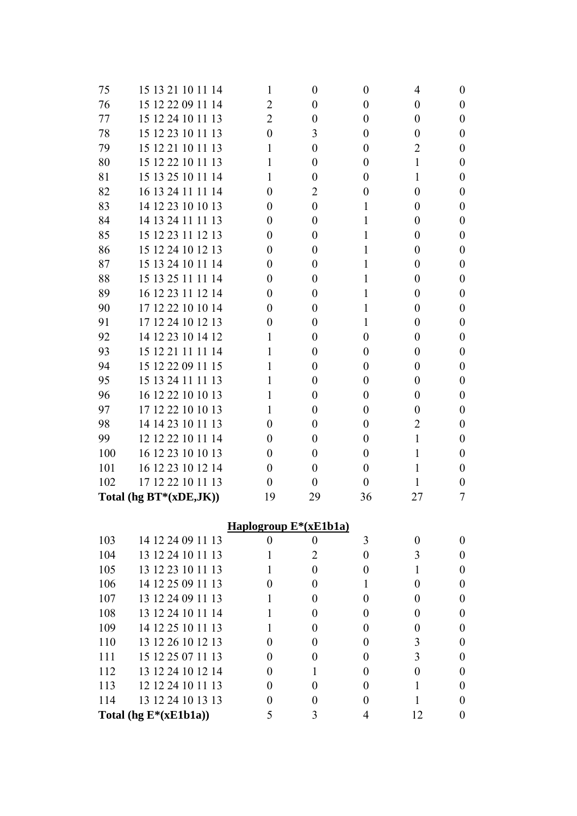| 75  | 15 13 21 10 11 14         | 1                                  | $\theta$         | $\theta$         | 4                | $\theta$         |
|-----|---------------------------|------------------------------------|------------------|------------------|------------------|------------------|
| 76  | 15 12 22 09 11 14         | 2                                  | $\theta$         | $\overline{0}$   | 0                | $\theta$         |
| 77  | 15 12 24 10 11 13         | 2                                  | $\theta$         | $\overline{0}$   | $\boldsymbol{0}$ | $\theta$         |
| 78  | 15 12 23 10 11 13         | $\overline{0}$                     | 3                | $\overline{0}$   | $\boldsymbol{0}$ | $\boldsymbol{0}$ |
| 79  | 15 12 21 10 11 13         | 1                                  | $\theta$         | $\theta$         | 2                | $\theta$         |
| 80  | 15 12 22 10 11 13         | 1                                  | $\theta$         | $\overline{0}$   | $\mathbf{1}$     | $\boldsymbol{0}$ |
| 81  | 15 13 25 10 11 14         | 1                                  | $\theta$         | $\theta$         | 1                | $\boldsymbol{0}$ |
| 82  | 16 13 24 11 11 14         | $\overline{0}$                     | $\overline{2}$   | $\overline{0}$   | $\boldsymbol{0}$ | $\boldsymbol{0}$ |
| 83  | 14 12 23 10 10 13         | $\theta$                           | $\theta$         | 1                | 0                | $\theta$         |
| 84  | 14 13 24 11 11 13         | 0                                  | $\theta$         | 1                | 0                | $\boldsymbol{0}$ |
| 85  | 15 12 23 11 12 13         | $\theta$                           | $\theta$         | 1                | 0                | $\boldsymbol{0}$ |
| 86  | 15 12 24 10 12 13         | $\overline{0}$                     | $\theta$         | 1                | $\boldsymbol{0}$ | $\boldsymbol{0}$ |
| 87  | 15 13 24 10 11 14         | $\theta$                           | $\theta$         | 1                | 0                | $\theta$         |
| 88  | 15 13 25 11 11 14         | $\overline{0}$                     | $\theta$         | 1                | $\boldsymbol{0}$ | $\boldsymbol{0}$ |
| 89  | 16 12 23 11 12 14         | $\theta$                           | $\theta$         | 1                | 0                | $\boldsymbol{0}$ |
| 90  | 17 12 22 10 10 14         | $\overline{0}$                     | $\theta$         | 1                | $\overline{0}$   | $\boldsymbol{0}$ |
| 91  | 17 12 24 10 12 13         | 0                                  | $\theta$         | 1                | 0                | $\theta$         |
| 92  | 14 12 23 10 14 12         | 1                                  | $\theta$         | $\overline{0}$   | $\boldsymbol{0}$ | $\boldsymbol{0}$ |
| 93  | 15 12 21 11 11 14         | 1                                  | $\theta$         | $\theta$         | 0                | $\boldsymbol{0}$ |
| 94  | 15 12 22 09 11 15         | 1                                  | $\theta$         | $\theta$         | $\overline{0}$   | $\boldsymbol{0}$ |
| 95  | 15 13 24 11 11 13         | 1                                  | $\theta$         | $\theta$         | 0                | $\theta$         |
| 96  | 16 12 22 10 10 13         | 1                                  | $\theta$         | $\overline{0}$   | $\boldsymbol{0}$ | $\boldsymbol{0}$ |
| 97  | 17 12 22 10 10 13         | 1                                  | $\theta$         | $\theta$         | 0                | $\theta$         |
| 98  | 14 14 23 10 11 13         | $\overline{0}$                     | $\theta$         | $\theta$         | $\overline{2}$   | $\boldsymbol{0}$ |
| 99  | 12 12 22 10 11 14         | $\theta$                           | $\theta$         | $\theta$         | $\mathbf{1}$     | $\theta$         |
| 100 | 16 12 23 10 10 13         | $\overline{0}$                     | $\theta$         | $\overline{0}$   | 1                | $\boldsymbol{0}$ |
| 101 | 16 12 23 10 12 14         | $\overline{0}$                     | $\theta$         | $\overline{0}$   | 1                | $\theta$         |
| 102 | 17 12 22 10 11 13         | $\boldsymbol{0}$                   | $\theta$         | $\theta$         | 1                | $\boldsymbol{0}$ |
|     | Total (hg $BT*(xDE,JK)$ ) | 19                                 | 29               | 36               | 27               | 7                |
|     |                           |                                    |                  |                  |                  |                  |
|     |                           | Haplogroup E <sup>*</sup> (xE1b1a) |                  |                  |                  |                  |
| 103 | 14 12 24 09 11 13         | $\boldsymbol{0}$                   | $\boldsymbol{0}$ | 3                | $\boldsymbol{0}$ | $\boldsymbol{0}$ |
| 104 | 13 12 24 10 11 13         | 1                                  | $\overline{2}$   | $\boldsymbol{0}$ | 3                | $\boldsymbol{0}$ |
| 105 | 13 12 23 10 11 13         | 1                                  | $\overline{0}$   | $\overline{0}$   | $\mathbf{1}$     | $\boldsymbol{0}$ |
| 106 | 14 12 25 09 11 13         | $\overline{0}$                     | $\theta$         | 1                | $\overline{0}$   | $\theta$         |
| 107 | 13 12 24 09 11 13         | 1                                  | $\theta$         | $\overline{0}$   | $\boldsymbol{0}$ | $\boldsymbol{0}$ |
| 108 | 13 12 24 10 11 14         | 1                                  | $\theta$         | $\overline{0}$   | $\boldsymbol{0}$ | $\boldsymbol{0}$ |
| 109 | 14 12 25 10 11 13         | 1                                  | $\theta$         | $\overline{0}$   | $\boldsymbol{0}$ | $\boldsymbol{0}$ |
| 110 | 13 12 26 10 12 13         | $\overline{0}$                     | $\theta$         | $\overline{0}$   | 3                | $\theta$         |
| 111 | 15 12 25 07 11 13         | $\overline{0}$                     | $\theta$         | $\theta$         | 3                | $\boldsymbol{0}$ |
| 112 | 13 12 24 10 12 14         | $\overline{0}$                     | 1                | $\overline{0}$   | $\boldsymbol{0}$ | $\boldsymbol{0}$ |
| 113 | 12 12 24 10 11 13         | $\overline{0}$                     | $\theta$         | $\overline{0}$   | 1                | $\boldsymbol{0}$ |
| 114 | 13 12 24 10 13 13         | $\boldsymbol{0}$                   | $\theta$         | $\overline{0}$   | 1                | $\boldsymbol{0}$ |
|     | Total (hg $E^*(xE1b1a)$ ) | 5                                  | 3                | 4                | 12               | $\boldsymbol{0}$ |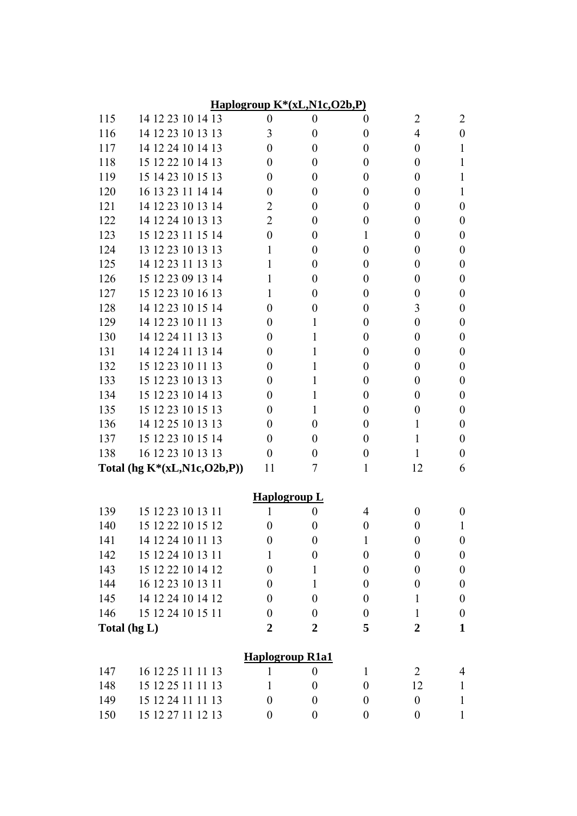|              |                                        |                              | Haplogroup K*(xL,N1c,O2b,P)          |                       |                        |                  |
|--------------|----------------------------------------|------------------------------|--------------------------------------|-----------------------|------------------------|------------------|
| 115          | 14 12 23 10 14 13                      | $\boldsymbol{0}$             | $\boldsymbol{0}$                     | $\theta$              | $\overline{2}$         | 2                |
| 116          | 14 12 23 10 13 13                      | 3                            | $\overline{0}$                       | $\boldsymbol{0}$      | $\overline{4}$         | $\boldsymbol{0}$ |
| 117          | 14 12 24 10 14 13                      | $\theta$                     | $\overline{0}$                       | $\boldsymbol{0}$      | $\boldsymbol{0}$       | 1                |
| 118          | 15 12 22 10 14 13                      | $\theta$                     | $\overline{0}$                       | $\boldsymbol{0}$      | $\boldsymbol{0}$       | 1                |
| 119          | 15 14 23 10 15 13                      | $\theta$                     | $\theta$                             | $\boldsymbol{0}$      | $\boldsymbol{0}$       | 1                |
| 120          | 16 13 23 11 14 14                      | $\theta$                     | $\overline{0}$                       | $\boldsymbol{0}$      | $\boldsymbol{0}$       | 1                |
| 121          | 14 12 23 10 13 14                      | 2                            | $\theta$                             | $\boldsymbol{0}$      | $\boldsymbol{0}$       | 0                |
| 122          | 14 12 24 10 13 13                      | $\overline{2}$               | $\overline{0}$                       | $\boldsymbol{0}$      | $\boldsymbol{0}$       | $\boldsymbol{0}$ |
| 123          | 15 12 23 11 15 14                      | $\theta$                     | $\theta$                             | 1                     | $\boldsymbol{0}$       | $\boldsymbol{0}$ |
| 124          | 13 12 23 10 13 13                      | 1                            | $\theta$                             | $\boldsymbol{0}$      | $\boldsymbol{0}$       | $\boldsymbol{0}$ |
| 125          | 14 12 23 11 13 13                      | 1                            | $\theta$                             | $\boldsymbol{0}$      | $\boldsymbol{0}$       | $\boldsymbol{0}$ |
| 126          | 15 12 23 09 13 14                      | 1                            | $\overline{0}$                       | $\boldsymbol{0}$      | $\boldsymbol{0}$       | $\boldsymbol{0}$ |
| 127          | 15 12 23 10 16 13                      | 1                            | $\theta$                             | $\boldsymbol{0}$      | $\boldsymbol{0}$       | $\boldsymbol{0}$ |
| 128          | 14 12 23 10 15 14                      | $\theta$                     | $\overline{0}$                       | $\boldsymbol{0}$      | 3                      | $\boldsymbol{0}$ |
| 129          | 14 12 23 10 11 13                      | 0                            | 1                                    | $\boldsymbol{0}$      | $\boldsymbol{0}$       | $\boldsymbol{0}$ |
| 130          | 14 12 24 11 13 13                      | $\theta$                     | 1                                    | $\boldsymbol{0}$      | $\boldsymbol{0}$       | $\boldsymbol{0}$ |
| 131          | 14 12 24 11 13 14                      | $\theta$                     | 1                                    | $\boldsymbol{0}$      | $\boldsymbol{0}$       | $\boldsymbol{0}$ |
| 132          | 15 12 23 10 11 13                      | $\theta$                     | 1                                    | $\boldsymbol{0}$      | $\boldsymbol{0}$       | $\boldsymbol{0}$ |
| 133          | 15 12 23 10 13 13                      | 0                            | 1                                    | $\boldsymbol{0}$      | $\boldsymbol{0}$       | $\boldsymbol{0}$ |
| 134          | 15 12 23 10 14 13                      | $\theta$                     | 1                                    | $\boldsymbol{0}$      | $\boldsymbol{0}$       | $\boldsymbol{0}$ |
| 135          | 15 12 23 10 15 13                      | $\theta$                     | 1                                    | $\boldsymbol{0}$      | 0                      | $\boldsymbol{0}$ |
| 136          | 14 12 25 10 13 13                      | $\theta$                     | $\theta$                             | $\boldsymbol{0}$      | 1                      | $\boldsymbol{0}$ |
| 137          | 15 12 23 10 15 14                      | 0                            | $\theta$                             | $\boldsymbol{0}$      | 1                      | $\boldsymbol{0}$ |
| 138          | 16 12 23 10 13 13                      | $\theta$                     | $\overline{0}$                       | $\boldsymbol{0}$      | 1                      | $\boldsymbol{0}$ |
|              | Total (hg $K^*(xL,N1c, O2b, P))$       | 11                           | 7                                    | 1                     | 12                     | 6                |
|              |                                        | <b>Haplogroup L</b>          |                                      |                       |                        |                  |
| 139          | 15 12 23 10 13 11                      | 1                            | $\boldsymbol{0}$                     | $\overline{4}$        | $\boldsymbol{0}$       | $\boldsymbol{0}$ |
| 140          | 15 12 22 10 15 12                      | $\boldsymbol{0}$             | $\boldsymbol{0}$                     | $\boldsymbol{0}$      | 0                      |                  |
| 141          | 14 12 24 10 11 13                      | $\boldsymbol{0}$             | $\boldsymbol{0}$                     | $\mathbf{1}$          | $\boldsymbol{0}$       | $\boldsymbol{0}$ |
| 142          | 15 12 24 10 13 11                      | 1                            | $\boldsymbol{0}$                     | $\boldsymbol{0}$      | $\boldsymbol{0}$       | $\boldsymbol{0}$ |
| 143          | 15 12 22 10 14 12                      | $\theta$                     | $\mathbf{1}$                         | $\boldsymbol{0}$      | $\boldsymbol{0}$       | $\boldsymbol{0}$ |
| 144          | 16 12 23 10 13 11                      | 0                            | 1                                    | $\boldsymbol{0}$      | 0                      | $\boldsymbol{0}$ |
| 145          | 14 12 24 10 14 12                      | 0                            | $\boldsymbol{0}$                     | $\boldsymbol{0}$      | 1                      | $\boldsymbol{0}$ |
| 146          | 15 12 24 10 15 11                      | 0                            | $\boldsymbol{0}$                     | $\boldsymbol{0}$      | 1                      | $\boldsymbol{0}$ |
| Total (hg L) |                                        | $\overline{2}$               | $\overline{2}$                       | 5                     | $\overline{2}$         | $\mathbf{1}$     |
|              |                                        |                              |                                      |                       |                        |                  |
|              |                                        |                              | <b>Haplogroup R1a1</b>               |                       |                        |                  |
| 147          | 16 12 25 11 11 13<br>15 12 25 11 11 13 | $\mathbf{1}$<br>$\mathbf{1}$ | $\boldsymbol{0}$<br>$\boldsymbol{0}$ | 1<br>$\boldsymbol{0}$ | $\overline{2}$         | 4                |
| 148<br>149   | 15 12 24 11 11 13                      | $\boldsymbol{0}$             | $\boldsymbol{0}$                     | $\boldsymbol{0}$      | 12<br>$\boldsymbol{0}$ | $\mathbf{1}$     |
|              |                                        |                              |                                      |                       |                        | 1                |
| 150          | 15 12 27 11 12 13                      | $\boldsymbol{0}$             | $\boldsymbol{0}$                     | $\boldsymbol{0}$      | $\boldsymbol{0}$       | 1                |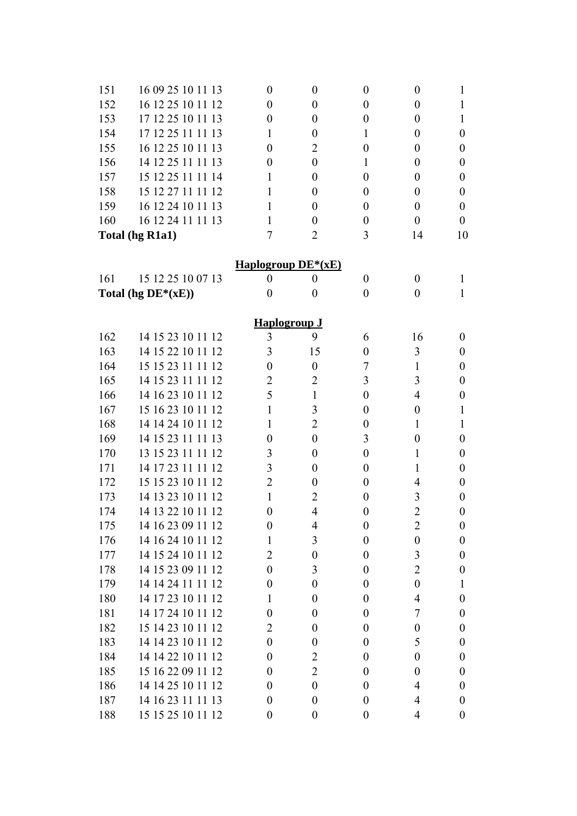| 151 | 16 09 25 10 11 13     | $\boldsymbol{0}$     | $\boldsymbol{0}$ | $\boldsymbol{0}$ | $\boldsymbol{0}$ | 1                |
|-----|-----------------------|----------------------|------------------|------------------|------------------|------------------|
| 152 | 16 12 25 10 11 12     | 0                    | $\boldsymbol{0}$ | $\boldsymbol{0}$ | $\boldsymbol{0}$ | 1                |
| 153 | 17 12 25 10 11 13     | 0                    | 0                | 0                | 0                | 1                |
| 154 | 17 12 25 11 11 13     | 1                    | $\boldsymbol{0}$ | 1                | 0                | 0                |
| 155 | 16 12 25 10 11 13     | 0                    | 2                | 0                | 0                | 0                |
| 156 | 14 12 25 11 11 13     | 0                    | $\boldsymbol{0}$ | 1                | $\boldsymbol{0}$ | 0                |
| 157 | 15 12 25 11 11 14     | 1                    | $\theta$         | 0                | 0                | 0                |
| 158 | 15 12 27 11 11 12     | 1                    | 0                | 0                | 0                | 0                |
| 159 | 16 12 24 10 11 13     | 1                    | 0                | 0                | 0                | 0                |
| 160 | 16 12 24 11 11 13     | 1                    | $\boldsymbol{0}$ | $\boldsymbol{0}$ | $\boldsymbol{0}$ | $\boldsymbol{0}$ |
|     | Total (hg R1a1)       | 7                    | $\overline{2}$   | 3                | 14               | 10               |
|     |                       |                      |                  |                  |                  |                  |
|     |                       | Haplogroup $DE*(xE)$ |                  |                  |                  |                  |
| 161 | 15 12 25 10 07 13     | $\boldsymbol{0}$     | $\boldsymbol{0}$ | $\boldsymbol{0}$ | $\boldsymbol{0}$ | 1                |
|     | Total (hg $DE*(xE)$ ) | $\boldsymbol{0}$     | $\boldsymbol{0}$ | $\boldsymbol{0}$ | 0                | 1                |
|     |                       | <b>Haplogroup J</b>  |                  |                  |                  |                  |
| 162 | 14 15 23 10 11 12     | 3                    | 9                | 6                | 16               | 0                |
| 163 | 14 15 22 10 11 12     | 3                    | 15               | $\boldsymbol{0}$ | 3                | 0                |
| 164 | 15 15 23 11 11 12     | $\theta$             | $\boldsymbol{0}$ | 7                | 1                | 0                |
| 165 | 14 15 23 11 11 12     | 2                    | 2                | 3                | 3                | 0                |
| 166 | 14 16 23 10 11 12     | 5                    | $\mathbf{1}$     | $\boldsymbol{0}$ | 4                | 0                |
| 167 | 15 16 23 10 11 12     | 1                    | 3                | 0                | 0                | 1                |
| 168 | 14 14 24 10 11 12     | 1                    | $\overline{2}$   | 0                | 1                | 1                |
| 169 | 14 15 23 11 11 13     | $\theta$             | $\boldsymbol{0}$ | 3                | $\boldsymbol{0}$ | 0                |
| 170 | 13 15 23 11 11 12     | 3                    | $\boldsymbol{0}$ | $\boldsymbol{0}$ | 1                | 0                |
| 171 | 14 17 23 11 11 12     | 3                    | $\theta$         | 0                | 1                | 0                |
| 172 | 15 15 23 10 11 12     | $\overline{2}$       | $\boldsymbol{0}$ | 0                | 4                | 0                |
| 173 | 14 13 23 10 11 12     | 1                    | $\overline{2}$   | 0                | 3                | 0                |
| 174 | 14 13 22 10 11 12     | $\boldsymbol{0}$     | $\overline{4}$   | $\boldsymbol{0}$ | $\overline{2}$   | $\boldsymbol{0}$ |
| 175 | 14 16 23 09 11 12     | $\boldsymbol{0}$     | 4                | $\boldsymbol{0}$ | $\overline{2}$   | $\boldsymbol{0}$ |
| 176 | 14 16 24 10 11 12     | 1                    | 3                | $\boldsymbol{0}$ | $\boldsymbol{0}$ | 0                |
| 177 | 14 15 24 10 11 12     | $\overline{2}$       | $\boldsymbol{0}$ | $\boldsymbol{0}$ | 3                | 0                |
| 178 | 14 15 23 09 11 12     | 0                    | 3                | $\boldsymbol{0}$ | $\overline{c}$   | 0                |
| 179 | 14 14 24 11 11 12     | $\theta$             | $\boldsymbol{0}$ | $\boldsymbol{0}$ | $\boldsymbol{0}$ | 1                |
| 180 | 14 17 23 10 11 12     | 1                    | $\boldsymbol{0}$ | $\boldsymbol{0}$ | 4                | 0                |
| 181 | 14 17 24 10 11 12     | 0                    | $\boldsymbol{0}$ | $\boldsymbol{0}$ | 7                | 0                |
| 182 | 15 14 23 10 11 12     | 2                    | $\boldsymbol{0}$ | $\boldsymbol{0}$ | $\boldsymbol{0}$ | 0                |
| 183 | 14 14 23 10 11 12     | 0                    | $\boldsymbol{0}$ | $\boldsymbol{0}$ | 5                | 0                |
| 184 | 14 14 22 10 11 12     | $\theta$             | $\overline{2}$   | $\boldsymbol{0}$ | $\boldsymbol{0}$ | 0                |
| 185 | 15 16 22 09 11 12     | 0                    | $\overline{2}$   | $\boldsymbol{0}$ | $\boldsymbol{0}$ | 0                |
| 186 | 14 14 25 10 11 12     | 0                    | $\boldsymbol{0}$ | $\boldsymbol{0}$ | 4                | 0                |
| 187 | 14 16 23 11 11 13     | $\theta$             | $\boldsymbol{0}$ | $\boldsymbol{0}$ | 4                | 0                |
| 188 | 15 15 25 10 11 12     | $\boldsymbol{0}$     | $\boldsymbol{0}$ | $\boldsymbol{0}$ | 4                | $\boldsymbol{0}$ |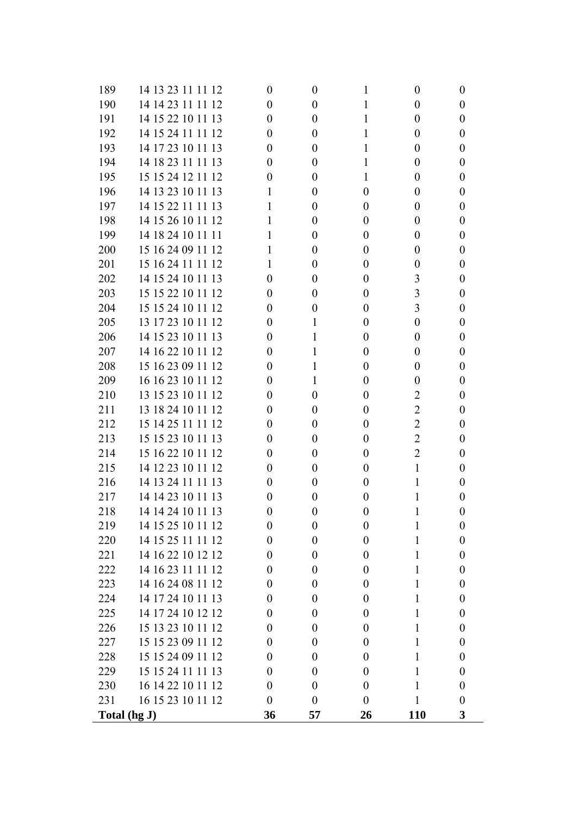|            | Total (hg J)                           | 36                           | 57                                   | 26               | <b>110</b>                           | 3                            |
|------------|----------------------------------------|------------------------------|--------------------------------------|------------------|--------------------------------------|------------------------------|
| 231        | 16 15 23 10 11 12                      | $\theta$                     | $\theta$                             | $\theta$         |                                      | $\boldsymbol{0}$             |
| 230        | 16 14 22 10 11 12                      | $\overline{0}$               | $\theta$                             | $\boldsymbol{0}$ |                                      | $\boldsymbol{0}$             |
| 229        | 15 15 24 11 11 13                      | $\overline{0}$               | $\theta$                             | $\theta$         | 1                                    | $\boldsymbol{0}$             |
| 228        | 15 15 24 09 11 12                      | $\overline{0}$               | $\theta$                             | $\boldsymbol{0}$ | 1                                    | $\boldsymbol{0}$             |
| 227        | 15 15 23 09 11 12                      | $\overline{0}$               | $\theta$                             | $\theta$         | 1                                    | $\boldsymbol{0}$             |
| 226        | 15 13 23 10 11 12                      | $\overline{0}$               | $\theta$                             | $\boldsymbol{0}$ | 1                                    | $\boldsymbol{0}$             |
| 225        | 14 17 24 10 12 12                      | $\overline{0}$               | $\theta$                             | $\boldsymbol{0}$ | 1                                    | $\boldsymbol{0}$             |
| 224        | 14 17 24 10 11 13                      | $\overline{0}$               | $\boldsymbol{0}$                     | $\boldsymbol{0}$ |                                      | $\boldsymbol{0}$             |
| 223        | 14 16 24 08 11 12                      | $\overline{0}$               | $\theta$                             | $\theta$         | 1                                    | $\boldsymbol{0}$             |
| 222        | 14 16 23 11 11 12                      | $\theta$                     | $\theta$                             | $\boldsymbol{0}$ | 1                                    | $\boldsymbol{0}$             |
| 221        | 14 16 22 10 12 12                      | $\theta$                     | $\overline{0}$                       | $\boldsymbol{0}$ | 1                                    | $\boldsymbol{0}$             |
| 220        | 14 15 25 11 11 12                      | $\boldsymbol{0}$             | $\boldsymbol{0}$                     | $\boldsymbol{0}$ | 1                                    | $\boldsymbol{0}$             |
| 219        | 14 15 25 10 11 12                      | $\theta$                     | $\boldsymbol{0}$                     | $\boldsymbol{0}$ |                                      | $\boldsymbol{0}$             |
| 218        | 14 14 24 10 11 13                      | $\overline{0}$               | $\theta$                             | $\overline{0}$   |                                      | $\boldsymbol{0}$             |
| 217        | 14 14 23 10 11 13                      | $\boldsymbol{0}$             | $\theta$                             | $\boldsymbol{0}$ |                                      | 0                            |
| 216        | 14 13 24 11 11 13                      | $\boldsymbol{0}$             | $\theta$                             | $\boldsymbol{0}$ |                                      | $\boldsymbol{0}$             |
| 215        | 14 12 23 10 11 12                      | $\theta$                     | $\boldsymbol{0}$                     | $\boldsymbol{0}$ | 1                                    | $\boldsymbol{0}$             |
| 214        | 15 16 22 10 11 12                      | $\boldsymbol{0}$             | $\boldsymbol{0}$                     | $\boldsymbol{0}$ | $\overline{2}$                       | $\boldsymbol{0}$             |
| 213        | 15 15 23 10 11 13                      | $\boldsymbol{0}$             | $\boldsymbol{0}$                     | $\boldsymbol{0}$ | $\overline{2}$                       | $\boldsymbol{0}$             |
| 212        | 15 14 25 11 11 12                      | $\theta$                     | $\theta$                             | $\boldsymbol{0}$ | $\overline{2}$                       | $\boldsymbol{0}$             |
| 211        | 13 18 24 10 11 12                      | $\theta$                     | $\theta$                             | $\boldsymbol{0}$ | $\overline{2}$                       | $\boldsymbol{0}$             |
| 210        | 13 15 23 10 11 12                      | $\boldsymbol{0}$             | $\boldsymbol{0}$                     | $\boldsymbol{0}$ | $\overline{c}$                       | $\boldsymbol{0}$             |
| 209        | 16 16 23 10 11 12                      | $\boldsymbol{0}$             | 1                                    | $\boldsymbol{0}$ | $\boldsymbol{0}$                     | $\boldsymbol{0}$             |
| 208        | 15 16 23 09 11 12                      | $\overline{0}$               | 1                                    | $\boldsymbol{0}$ | $\boldsymbol{0}$                     | $\boldsymbol{0}$             |
| 207        | 14 16 22 10 11 12                      | $\theta$                     | 1                                    | $\theta$         | $\boldsymbol{0}$                     | $\boldsymbol{0}$             |
| 206        | 14 15 23 10 11 13                      | $\boldsymbol{0}$             | 1                                    | $\boldsymbol{0}$ | $\boldsymbol{0}$                     | $\boldsymbol{0}$             |
| 205        | 13 17 23 10 11 12                      | $\theta$                     | 1                                    | $\boldsymbol{0}$ | $\boldsymbol{0}$                     | $\boldsymbol{0}$             |
| 204        | 15 15 24 10 11 12                      | $\overline{0}$               | $\boldsymbol{0}$                     | $\boldsymbol{0}$ | 3                                    | $\boldsymbol{0}$             |
| 203        | 15 15 22 10 11 12                      | $\theta$                     | $\theta$                             | $\theta$         | 3                                    | $\boldsymbol{0}$             |
| 202        | 14 15 24 10 11 13                      | $\theta$                     | $\theta$                             | $\boldsymbol{0}$ | 3                                    | $\boldsymbol{0}$             |
| 201        | 15 16 24 11 11 12                      |                              | $\theta$                             | $\boldsymbol{0}$ | $\boldsymbol{0}$                     | $\boldsymbol{0}$             |
| 200        | 15 16 24 09 11 12                      |                              | $\overline{0}$                       | $\boldsymbol{0}$ | $\boldsymbol{0}$                     | $\boldsymbol{0}$             |
| 199        | 14 18 24 10 11 11                      |                              | $\theta$                             | $\boldsymbol{0}$ | $\boldsymbol{0}$                     | $\boldsymbol{0}$             |
| 198        | 14 15 26 10 11 12                      |                              | $\theta$                             | $\boldsymbol{0}$ | $\boldsymbol{0}$                     | $\boldsymbol{0}$             |
| 197        | 14 15 22 11 11 13                      |                              | $\theta$                             | $\boldsymbol{0}$ | $\boldsymbol{0}$                     | $\boldsymbol{0}$             |
| 196        | 14 13 23 10 11 13                      | 1                            | $\overline{0}$                       | $\boldsymbol{0}$ | $\boldsymbol{0}$                     | $\boldsymbol{0}$             |
| 195        | 15 15 24 12 11 12                      | $\overline{0}$               | $\theta$                             |                  | $\boldsymbol{0}$                     | $\boldsymbol{0}$             |
| 194        | 14 18 23 11 11 13                      | $\boldsymbol{0}$             | $\theta$                             |                  | $\boldsymbol{0}$                     | $\boldsymbol{0}$             |
| 193        | 14 17 23 10 11 13                      | $\theta$                     | $\theta$                             | 1                | $\boldsymbol{0}$                     | $\boldsymbol{0}$             |
| 192        | 14 15 24 11 11 12                      | $\boldsymbol{0}$             | $\overline{0}$                       | 1                | $\boldsymbol{0}$                     | $\boldsymbol{0}$             |
| 191        | 14 15 22 10 11 13                      | $\boldsymbol{0}$<br>$\theta$ | $\theta$                             | 1                | $\boldsymbol{0}$<br>$\boldsymbol{0}$ | $\boldsymbol{0}$<br>$\theta$ |
| 189<br>190 | 14 13 23 11 11 12<br>14 14 23 11 11 12 | $\theta$                     | $\boldsymbol{0}$<br>$\boldsymbol{0}$ |                  | $\boldsymbol{0}$                     | $\boldsymbol{0}$             |